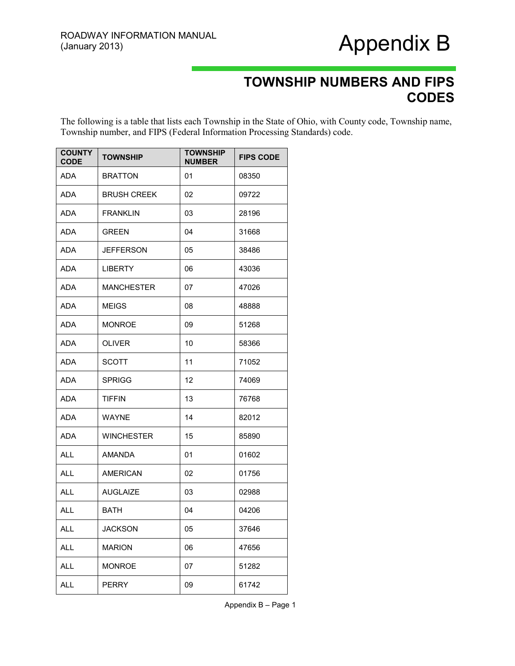### Appendix B

#### **TOWNSHIP NUMBERS AND FIPS CODES**

The following is a table that lists each Township in the State of Ohio, with County code, Township name, Township number, and FIPS (Federal Information Processing Standards) code.

| <b>COUNTY</b><br><b>CODE</b> | <b>TOWNSHIP</b>    | <b>TOWNSHIP</b><br><b>NUMBER</b> | <b>FIPS CODE</b> |
|------------------------------|--------------------|----------------------------------|------------------|
| ADA                          | <b>BRATTON</b>     | 01                               | 08350            |
| ADA                          | <b>BRUSH CREEK</b> | 02                               | 09722            |
| ADA                          | <b>FRANKLIN</b>    | 03                               | 28196            |
| <b>ADA</b>                   | <b>GREEN</b>       | 04                               | 31668            |
| <b>ADA</b>                   | <b>JEFFERSON</b>   | 05                               | 38486            |
| ADA                          | <b>LIBERTY</b>     | 06                               | 43036            |
| <b>ADA</b>                   | <b>MANCHESTER</b>  | 07                               | 47026            |
| ADA                          | <b>MEIGS</b>       | 08                               | 48888            |
| ADA                          | <b>MONROE</b>      | 09                               | 51268            |
| ADA                          | <b>OLIVER</b>      | 10                               | 58366            |
| <b>ADA</b>                   | <b>SCOTT</b>       | 11                               | 71052            |
| <b>ADA</b>                   | <b>SPRIGG</b>      | 12                               | 74069            |
| <b>ADA</b>                   | <b>TIFFIN</b>      | 13                               | 76768            |
| ADA                          | WAYNE              | 14                               | 82012            |
| <b>ADA</b>                   | <b>WINCHESTER</b>  | 15                               | 85890            |
| <b>ALL</b>                   | <b>AMANDA</b>      | 01                               | 01602            |
| ALL                          | AMERICAN           | 02                               | 01756            |
| <b>ALL</b>                   | <b>AUGLAIZE</b>    | 03                               | 02988            |
| <b>ALL</b>                   | <b>BATH</b>        | 04                               | 04206            |
| <b>ALL</b>                   | <b>JACKSON</b>     | 05                               | 37646            |
| <b>ALL</b>                   | <b>MARION</b>      | 06                               | 47656            |
| <b>ALL</b>                   | <b>MONROE</b>      | 07                               | 51282            |
| <b>ALL</b>                   | <b>PERRY</b>       | 09                               | 61742            |

Appendix B – Page 1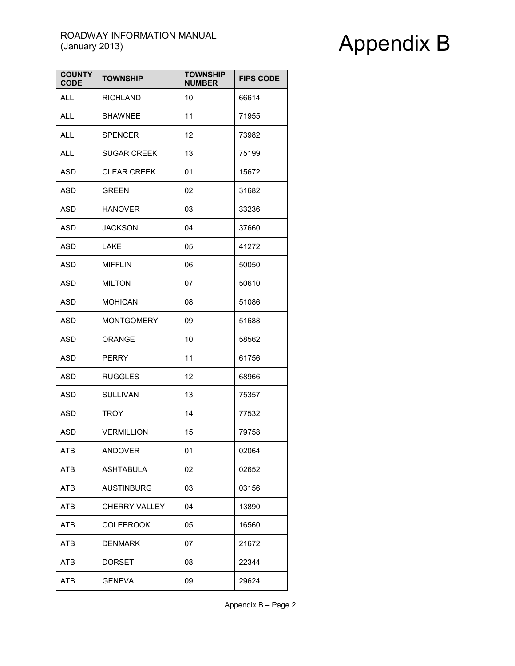| <b>COUNTY</b><br><b>CODE</b> | <b>TOWNSHIP</b>      | <b>TOWNSHIP</b><br><b>NUMBER</b> | <b>FIPS CODE</b> |
|------------------------------|----------------------|----------------------------------|------------------|
| <b>ALL</b>                   | <b>RICHLAND</b>      | 10                               | 66614            |
| <b>ALL</b>                   | <b>SHAWNEE</b>       | 11                               | 71955            |
| <b>ALL</b>                   | <b>SPENCER</b>       | 12                               | 73982            |
| ALL                          | <b>SUGAR CREEK</b>   | 13                               | 75199            |
| <b>ASD</b>                   | <b>CLEAR CREEK</b>   | 01                               | 15672            |
| <b>ASD</b>                   | <b>GREEN</b>         | 02                               | 31682            |
| ASD                          | <b>HANOVER</b>       | 03                               | 33236            |
| ASD                          | <b>JACKSON</b>       | 04                               | 37660            |
| <b>ASD</b>                   | <b>LAKE</b>          | 05                               | 41272            |
| <b>ASD</b>                   | <b>MIFFLIN</b>       | 06                               | 50050            |
| <b>ASD</b>                   | <b>MILTON</b>        | 07                               | 50610            |
| ASD                          | <b>MOHICAN</b>       | 08                               | 51086            |
| <b>ASD</b>                   | <b>MONTGOMERY</b>    | 09                               | 51688            |
| <b>ASD</b>                   | ORANGE               | 10                               | 58562            |
| <b>ASD</b>                   | <b>PERRY</b>         | 11                               | 61756            |
| <b>ASD</b>                   | <b>RUGGLES</b>       | 12                               | 68966            |
| <b>ASD</b>                   | <b>SULLIVAN</b>      | 13                               | 75357            |
| <b>ASD</b>                   | <b>TROY</b>          | 14                               | 77532            |
| <b>ASD</b>                   | <b>VERMILLION</b>    | 15                               | 79758            |
| ATB                          | <b>ANDOVER</b>       | 01                               | 02064            |
| ATB                          | <b>ASHTABULA</b>     | 02                               | 02652            |
| ATB                          | <b>AUSTINBURG</b>    | 03                               | 03156            |
| ATB                          | <b>CHERRY VALLEY</b> | 04                               | 13890            |
| <b>ATB</b>                   | <b>COLEBROOK</b>     | 05                               | 16560            |
| ATB                          | <b>DENMARK</b>       | 07                               | 21672            |
| ATB                          | DORSET               | 08                               | 22344            |
| ATB                          | <b>GENEVA</b>        | 09                               | 29624            |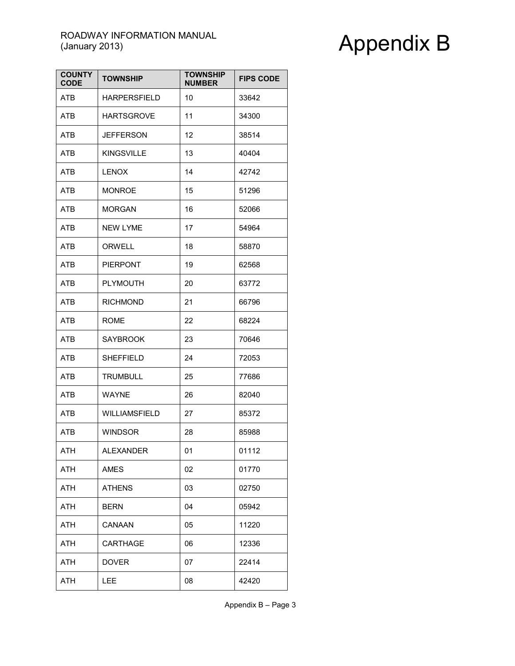| <b>COUNTY</b><br><b>CODE</b> | <b>TOWNSHIP</b>      | <b>TOWNSHIP</b><br><b>NUMBER</b> | <b>FIPS CODE</b> |
|------------------------------|----------------------|----------------------------------|------------------|
| ATB                          | <b>HARPERSFIELD</b>  | 10                               | 33642            |
| <b>ATB</b>                   | <b>HARTSGROVE</b>    | 11                               | 34300            |
| <b>ATB</b>                   | <b>JEFFERSON</b>     | 12                               | 38514            |
| <b>ATB</b>                   | <b>KINGSVILLE</b>    | 13                               | 40404            |
| ATB                          | <b>LENOX</b>         | 14                               | 42742            |
| ATB                          | <b>MONROE</b>        | 15                               | 51296            |
| ATB                          | <b>MORGAN</b>        | 16                               | 52066            |
| ATB                          | <b>NEW LYME</b>      | 17                               | 54964            |
| ATB                          | ORWELL               | 18                               | 58870            |
| <b>ATB</b>                   | <b>PIERPONT</b>      | 19                               | 62568            |
| <b>ATB</b>                   | <b>PLYMOUTH</b>      | 20                               | 63772            |
| ATB                          | <b>RICHMOND</b>      | 21                               | 66796            |
| <b>ATB</b>                   | <b>ROME</b>          | 22                               | 68224            |
| ATB                          | <b>SAYBROOK</b>      | 23                               | 70646            |
| ATB                          | <b>SHEFFIELD</b>     | 24                               | 72053            |
| <b>ATB</b>                   | <b>TRUMBULL</b>      | 25                               | 77686            |
| <b>ATB</b>                   | <b>WAYNE</b>         | 26                               | 82040            |
| ATB                          | <b>WILLIAMSFIELD</b> | 27                               | 85372            |
| <b>ATB</b>                   | <b>WINDSOR</b>       | 28                               | 85988            |
| ATH                          | ALEXANDER            | 01                               | 01112            |
| ATH                          | AMES                 | 02                               | 01770            |
| ATH                          | <b>ATHENS</b>        | 03                               | 02750            |
| ATH                          | <b>BERN</b>          | 04                               | 05942            |
| ATH                          | CANAAN               | 05                               | 11220            |
| ATH                          | <b>CARTHAGE</b>      | 06                               | 12336            |
| ATH                          | <b>DOVER</b>         | 07                               | 22414            |
| <b>ATH</b>                   | LEE                  | 08                               | 42420            |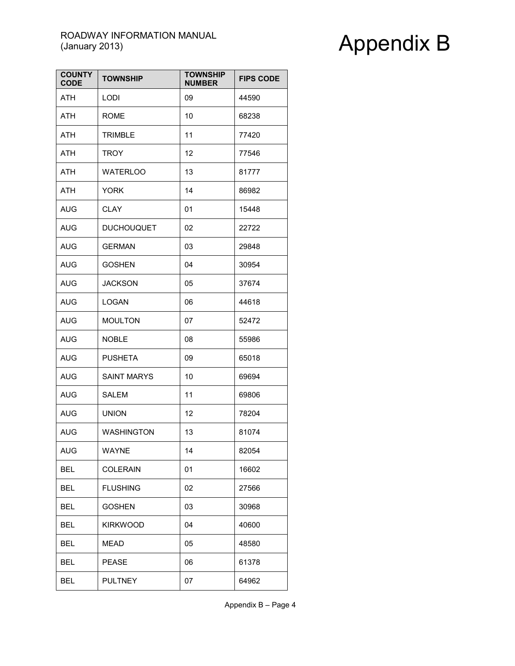| <b>COUNTY</b><br><b>CODE</b> | <b>TOWNSHIP</b>    | <b>TOWNSHIP</b><br><b>NUMBER</b> | <b>FIPS CODE</b> |
|------------------------------|--------------------|----------------------------------|------------------|
| <b>ATH</b>                   | <b>LODI</b>        | 09                               | 44590            |
| ATH                          | <b>ROME</b>        | 10                               | 68238            |
| <b>ATH</b>                   | <b>TRIMBLE</b>     | 11                               | 77420            |
| <b>ATH</b>                   | <b>TROY</b>        | 12                               | 77546            |
| ATH                          | <b>WATERLOO</b>    | 13                               | 81777            |
| ATH                          | <b>YORK</b>        | 14                               | 86982            |
| AUG                          | <b>CLAY</b>        | 01                               | 15448            |
| <b>AUG</b>                   | <b>DUCHOUQUET</b>  | 02                               | 22722            |
| <b>AUG</b>                   | <b>GERMAN</b>      | 03                               | 29848            |
| <b>AUG</b>                   | <b>GOSHEN</b>      | 04                               | 30954            |
| <b>AUG</b>                   | <b>JACKSON</b>     | 05                               | 37674            |
| <b>AUG</b>                   | <b>LOGAN</b>       | 06                               | 44618            |
| AUG                          | <b>MOULTON</b>     | 07                               | 52472            |
| <b>AUG</b>                   | <b>NOBLE</b>       | 08                               | 55986            |
| <b>AUG</b>                   | <b>PUSHETA</b>     | 09                               | 65018            |
| <b>AUG</b>                   | <b>SAINT MARYS</b> | 10                               | 69694            |
| <b>AUG</b>                   | SALEM              | 11                               | 69806            |
| <b>AUG</b>                   | <b>UNION</b>       | 12                               | 78204            |
| <b>AUG</b>                   | <b>WASHINGTON</b>  | 13                               | 81074            |
| <b>AUG</b>                   | <b>WAYNE</b>       | 14                               | 82054            |
| <b>BEL</b>                   | <b>COLERAIN</b>    | 01                               | 16602            |
| BEL                          | <b>FLUSHING</b>    | 02                               | 27566            |
| <b>BEL</b>                   | <b>GOSHEN</b>      | 03                               | 30968            |
| <b>BEL</b>                   | <b>KIRKWOOD</b>    | 04                               | 40600            |
| <b>BEL</b>                   | <b>MEAD</b>        | 05                               | 48580            |
| <b>BEL</b>                   | <b>PEASE</b>       | 06                               | 61378            |
| <b>BEL</b>                   | <b>PULTNEY</b>     | 07                               | 64962            |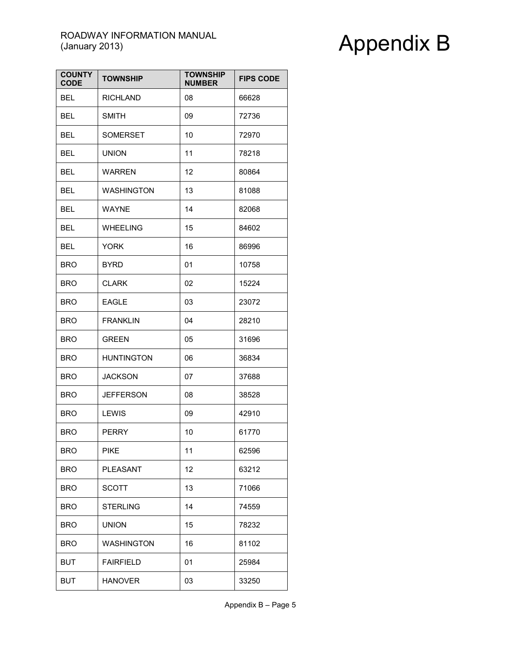| <b>COUNTY</b><br><b>CODE</b> | <b>TOWNSHIP</b>   | <b>TOWNSHIP</b><br><b>NUMBER</b> | <b>FIPS CODE</b> |
|------------------------------|-------------------|----------------------------------|------------------|
| <b>BEL</b>                   | <b>RICHLAND</b>   | 08                               | 66628            |
| <b>BEL</b>                   | <b>SMITH</b>      | 09                               | 72736            |
| <b>BEL</b>                   | <b>SOMERSET</b>   | 10                               | 72970            |
| BEL                          | <b>UNION</b>      | 11                               | 78218            |
| <b>BEL</b>                   | <b>WARREN</b>     | 12                               | 80864            |
| <b>BEL</b>                   | <b>WASHINGTON</b> | 13                               | 81088            |
| BEL                          | <b>WAYNE</b>      | 14                               | 82068            |
| BEL                          | <b>WHEELING</b>   | 15                               | 84602            |
| <b>BEL</b>                   | <b>YORK</b>       | 16                               | 86996            |
| <b>BRO</b>                   | BYRD              | 01                               | 10758            |
| <b>BRO</b>                   | <b>CLARK</b>      | 02                               | 15224            |
| <b>BRO</b>                   | <b>EAGLE</b>      | 03                               | 23072            |
| <b>BRO</b>                   | <b>FRANKLIN</b>   | 04                               | 28210            |
| <b>BRO</b>                   | <b>GREEN</b>      | 05                               | 31696            |
| <b>BRO</b>                   | <b>HUNTINGTON</b> | 06                               | 36834            |
| <b>BRO</b>                   | <b>JACKSON</b>    | 07                               | 37688            |
| <b>BRO</b>                   | <b>JEFFERSON</b>  | 08                               | 38528            |
| <b>BRO</b>                   | LEWIS             | 09                               | 42910            |
| <b>BRO</b>                   | PERRY             | 10                               | 61770            |
| <b>BRO</b>                   | <b>PIKE</b>       | 11                               | 62596            |
| <b>BRO</b>                   | <b>PLEASANT</b>   | 12                               | 63212            |
| <b>BRO</b>                   | SCOTT             | 13                               | 71066            |
| <b>BRO</b>                   | <b>STERLING</b>   | 14                               | 74559            |
| <b>BRO</b>                   | <b>UNION</b>      | 15                               | 78232            |
| <b>BRO</b>                   | <b>WASHINGTON</b> | 16                               | 81102            |
| <b>BUT</b>                   | <b>FAIRFIELD</b>  | 01                               | 25984            |
| <b>BUT</b>                   | <b>HANOVER</b>    | 03                               | 33250            |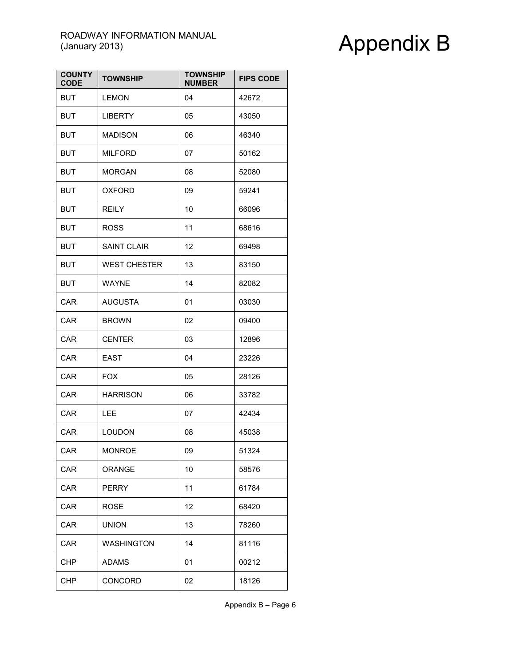| <b>COUNTY</b><br><b>CODE</b> | <b>TOWNSHIP</b>     | <b>TOWNSHIP</b><br><b>NUMBER</b> | <b>FIPS CODE</b> |
|------------------------------|---------------------|----------------------------------|------------------|
| <b>BUT</b>                   | <b>LEMON</b>        | 04                               | 42672            |
| <b>BUT</b>                   | <b>LIBERTY</b>      | 05                               | 43050            |
| <b>BUT</b>                   | <b>MADISON</b>      | 06                               | 46340            |
| <b>BUT</b>                   | <b>MILFORD</b>      | 07                               | 50162            |
| <b>BUT</b>                   | <b>MORGAN</b>       | 08                               | 52080            |
| <b>BUT</b>                   | <b>OXFORD</b>       | 09                               | 59241            |
| <b>BUT</b>                   | <b>REILY</b>        | 10                               | 66096            |
| <b>BUT</b>                   | <b>ROSS</b>         | 11                               | 68616            |
| <b>BUT</b>                   | <b>SAINT CLAIR</b>  | 12                               | 69498            |
| <b>BUT</b>                   | <b>WEST CHESTER</b> | 13                               | 83150            |
| <b>BUT</b>                   | <b>WAYNE</b>        | 14                               | 82082            |
| <b>CAR</b>                   | <b>AUGUSTA</b>      | 01                               | 03030            |
| CAR                          | <b>BROWN</b>        | 02                               | 09400            |
| <b>CAR</b>                   | <b>CENTER</b>       | 03                               | 12896            |
| CAR                          | <b>EAST</b>         | 04                               | 23226            |
| CAR                          | <b>FOX</b>          | 05                               | 28126            |
| CAR                          | <b>HARRISON</b>     | 06                               | 33782            |
| CAR                          | LEE                 | 07                               | 42434            |
| <b>CAR</b>                   | <b>LOUDON</b>       | 08                               | 45038            |
| CAR                          | <b>MONROE</b>       | 09                               | 51324            |
| CAR                          | <b>ORANGE</b>       | 10                               | 58576            |
| CAR                          | <b>PERRY</b>        | 11                               | 61784            |
| CAR                          | <b>ROSE</b>         | 12                               | 68420            |
| CAR                          | <b>UNION</b>        | 13                               | 78260            |
| CAR                          | <b>WASHINGTON</b>   | 14                               | 81116            |
| <b>CHP</b>                   | <b>ADAMS</b>        | 01                               | 00212            |
| <b>CHP</b>                   | CONCORD             | 02                               | 18126            |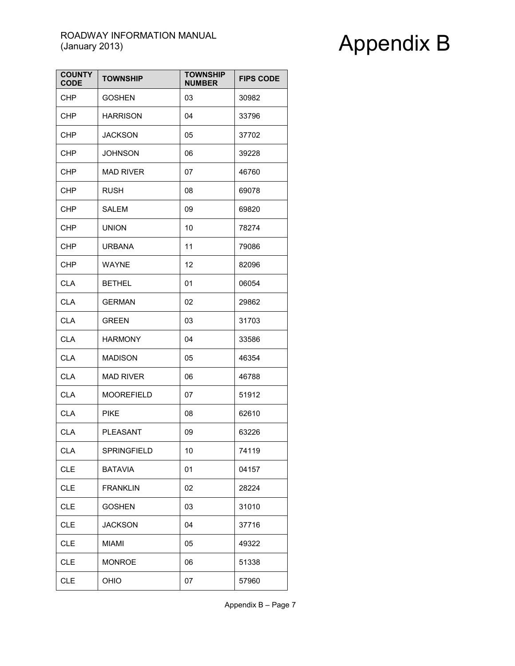| <b>COUNTY</b><br><b>CODE</b> | <b>TOWNSHIP</b>   | <b>TOWNSHIP</b><br><b>NUMBER</b> | <b>FIPS CODE</b> |
|------------------------------|-------------------|----------------------------------|------------------|
| <b>CHP</b>                   | <b>GOSHEN</b>     | 03                               | 30982            |
| <b>CHP</b>                   | <b>HARRISON</b>   | 04                               | 33796            |
| <b>CHP</b>                   | JACKSON           | 05                               | 37702            |
| <b>CHP</b>                   | <b>JOHNSON</b>    | 06                               | 39228            |
| <b>CHP</b>                   | <b>MAD RIVER</b>  | 07                               | 46760            |
| <b>CHP</b>                   | <b>RUSH</b>       | 08                               | 69078            |
| <b>CHP</b>                   | SALEM             | 09                               | 69820            |
| <b>CHP</b>                   | <b>UNION</b>      | 10                               | 78274            |
| <b>CHP</b>                   | <b>URBANA</b>     | 11                               | 79086            |
| <b>CHP</b>                   | <b>WAYNE</b>      | 12                               | 82096            |
| <b>CLA</b>                   | <b>BETHEL</b>     | 01                               | 06054            |
| <b>CLA</b>                   | <b>GERMAN</b>     | 02                               | 29862            |
| <b>CLA</b>                   | <b>GREEN</b>      | 03                               | 31703            |
| <b>CLA</b>                   | <b>HARMONY</b>    | 04                               | 33586            |
| <b>CLA</b>                   | <b>MADISON</b>    | 05                               | 46354            |
| <b>CLA</b>                   | <b>MAD RIVER</b>  | 06                               | 46788            |
| <b>CLA</b>                   | <b>MOOREFIELD</b> | 07                               | 51912            |
| <b>CLA</b>                   | <b>PIKE</b>       | 08                               | 62610            |
| <b>CLA</b>                   | <b>PLEASANT</b>   | 09                               | 63226            |
| <b>CLA</b>                   | SPRINGFIELD       | 10                               | 74119            |
| <b>CLE</b>                   | <b>BATAVIA</b>    | 01                               | 04157            |
| <b>CLE</b>                   | <b>FRANKLIN</b>   | 02                               | 28224            |
| <b>CLE</b>                   | <b>GOSHEN</b>     | 03                               | 31010            |
| <b>CLE</b>                   | <b>JACKSON</b>    | 04                               | 37716            |
| <b>CLE</b>                   | MIAMI             | 05                               | 49322            |
| <b>CLE</b>                   | <b>MONROE</b>     | 06                               | 51338            |
| <b>CLE</b>                   | OHIO              | 07                               | 57960            |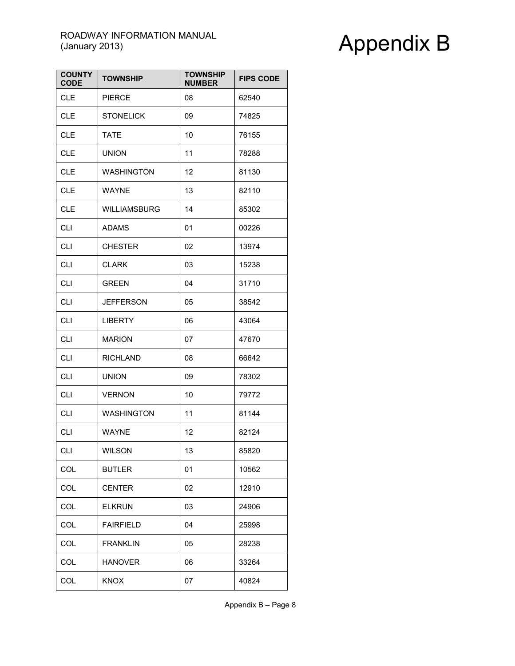| <b>COUNTY</b><br><b>CODE</b> | <b>TOWNSHIP</b>     | <b>TOWNSHIP</b><br><b>NUMBER</b> | <b>FIPS CODE</b> |
|------------------------------|---------------------|----------------------------------|------------------|
| <b>CLE</b>                   | <b>PIERCE</b>       | 08                               | 62540            |
| <b>CLE</b>                   | <b>STONELICK</b>    | 09                               | 74825            |
| <b>CLE</b>                   | <b>TATE</b>         | 10                               | 76155            |
| <b>CLE</b>                   | <b>UNION</b>        | 11                               | 78288            |
| <b>CLE</b>                   | <b>WASHINGTON</b>   | 12                               | 81130            |
| <b>CLE</b>                   | <b>WAYNE</b>        | 13                               | 82110            |
| <b>CLE</b>                   | <b>WILLIAMSBURG</b> | 14                               | 85302            |
| <b>CLI</b>                   | <b>ADAMS</b>        | 01                               | 00226            |
| <b>CLI</b>                   | <b>CHESTER</b>      | 02                               | 13974            |
| <b>CLI</b>                   | <b>CLARK</b>        | 03                               | 15238            |
| <b>CLI</b>                   | <b>GREEN</b>        | 04                               | 31710            |
| <b>CLI</b>                   | JEFFERSON           | 05                               | 38542            |
| <b>CLI</b>                   | <b>LIBERTY</b>      | 06                               | 43064            |
| <b>CLI</b>                   | <b>MARION</b>       | 07                               | 47670            |
| <b>CLI</b>                   | <b>RICHLAND</b>     | 08                               | 66642            |
| <b>CLI</b>                   | <b>UNION</b>        | 09                               | 78302            |
| <b>CLI</b>                   | <b>VERNON</b>       | 10                               | 79772            |
| <b>CLI</b>                   | <b>WASHINGTON</b>   | 11                               | 81144            |
| <b>CLI</b>                   | <b>WAYNE</b>        | 12                               | 82124            |
| <b>CLI</b>                   | WILSON              | 13                               | 85820            |
| COL                          | <b>BUTLER</b>       | 01                               | 10562            |
| COL                          | <b>CENTER</b>       | 02                               | 12910            |
| COL                          | <b>ELKRUN</b>       | 03                               | 24906            |
| COL                          | <b>FAIRFIELD</b>    | 04                               | 25998            |
| COL                          | <b>FRANKLIN</b>     | 05                               | 28238            |
| COL                          | <b>HANOVER</b>      | 06                               | 33264            |
| COL                          | <b>KNOX</b>         | 07                               | 40824            |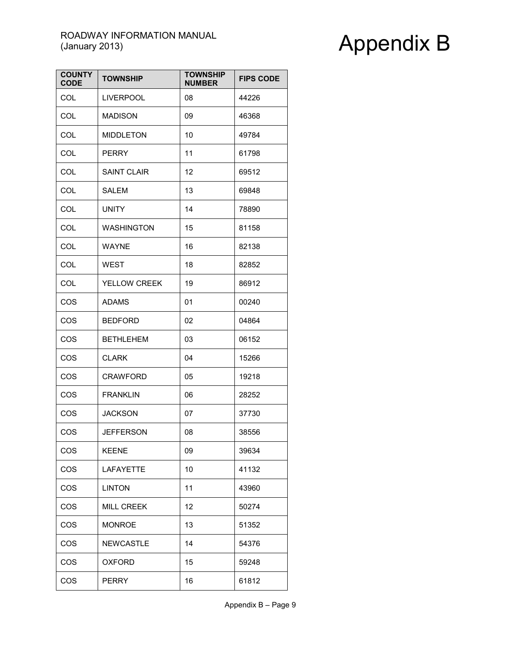| <b>COUNTY</b><br><b>CODE</b> | <b>TOWNSHIP</b>     | <b>TOWNSHIP</b><br><b>NUMBER</b> | <b>FIPS CODE</b> |
|------------------------------|---------------------|----------------------------------|------------------|
| <b>COL</b>                   | <b>LIVERPOOL</b>    | 08                               | 44226            |
| <b>COL</b>                   | <b>MADISON</b>      | 09                               | 46368            |
| <b>COL</b>                   | <b>MIDDLETON</b>    | 10                               | 49784            |
| COL                          | <b>PERRY</b>        | 11                               | 61798            |
| <b>COL</b>                   | <b>SAINT CLAIR</b>  | 12                               | 69512            |
| <b>COL</b>                   | SALEM               | 13                               | 69848            |
| <b>COL</b>                   | <b>UNITY</b>        | 14                               | 78890            |
| <b>COL</b>                   | <b>WASHINGTON</b>   | 15                               | 81158            |
| COL                          | <b>WAYNE</b>        | 16                               | 82138            |
| <b>COL</b>                   | <b>WEST</b>         | 18                               | 82852            |
| <b>COL</b>                   | <b>YELLOW CREEK</b> | 19                               | 86912            |
| COS                          | <b>ADAMS</b>        | 01                               | 00240            |
| COS                          | <b>BEDFORD</b>      | 02                               | 04864            |
| COS                          | <b>BETHLEHEM</b>    | 03                               | 06152            |
| COS                          | <b>CLARK</b>        | 04                               | 15266            |
| COS                          | <b>CRAWFORD</b>     | 05                               | 19218            |
| COS                          | <b>FRANKLIN</b>     | 06                               | 28252            |
| COS                          | <b>JACKSON</b>      | 07                               | 37730            |
| COS                          | JEFFERSON           | 08                               | 38556            |
| COS                          | <b>KEENE</b>        | 09                               | 39634            |
| COS                          | <b>LAFAYETTE</b>    | 10                               | 41132            |
| COS                          | <b>LINTON</b>       | 11                               | 43960            |
| COS                          | <b>MILL CREEK</b>   | 12                               | 50274            |
| COS                          | <b>MONROE</b>       | 13                               | 51352            |
| COS                          | <b>NEWCASTLE</b>    | 14                               | 54376            |
| COS                          | <b>OXFORD</b>       | 15                               | 59248            |
| COS                          | <b>PERRY</b>        | 16                               | 61812            |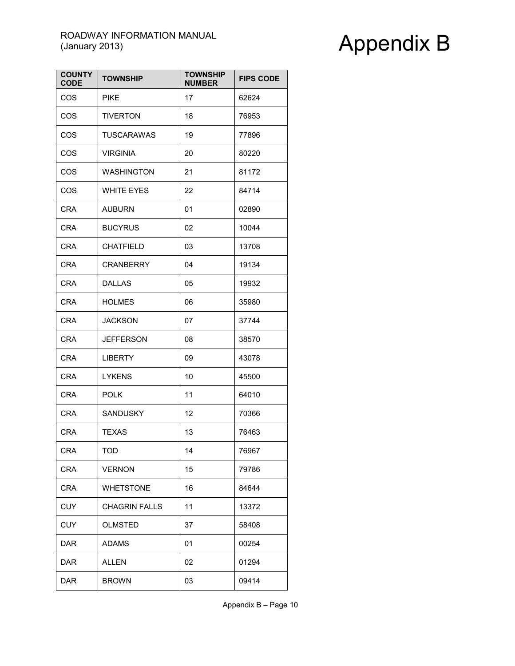| <b>COUNTY</b><br><b>CODE</b> | <b>TOWNSHIP</b>      | <b>TOWNSHIP</b><br><b>NUMBER</b> | <b>FIPS CODE</b> |
|------------------------------|----------------------|----------------------------------|------------------|
| COS                          | <b>PIKE</b>          | 17                               | 62624            |
| COS                          | <b>TIVERTON</b>      | 18                               | 76953            |
| COS                          | <b>TUSCARAWAS</b>    | 19                               | 77896            |
| COS                          | <b>VIRGINIA</b>      | 20                               | 80220            |
| COS                          | <b>WASHINGTON</b>    | 21                               | 81172            |
| COS                          | <b>WHITE EYES</b>    | 22                               | 84714            |
| <b>CRA</b>                   | <b>AUBURN</b>        | 01                               | 02890            |
| <b>CRA</b>                   | <b>BUCYRUS</b>       | 02                               | 10044            |
| <b>CRA</b>                   | <b>CHATFIELD</b>     | 03                               | 13708            |
| <b>CRA</b>                   | <b>CRANBERRY</b>     | 04                               | 19134            |
| <b>CRA</b>                   | <b>DALLAS</b>        | 05                               | 19932            |
| <b>CRA</b>                   | <b>HOLMES</b>        | 06                               | 35980            |
| <b>CRA</b>                   | <b>JACKSON</b>       | 07                               | 37744            |
| <b>CRA</b>                   | <b>JEFFERSON</b>     | 08                               | 38570            |
| <b>CRA</b>                   | <b>LIBERTY</b>       | 09                               | 43078            |
| <b>CRA</b>                   | <b>LYKENS</b>        | 10                               | 45500            |
| <b>CRA</b>                   | <b>POLK</b>          | 11                               | 64010            |
| <b>CRA</b>                   | <b>SANDUSKY</b>      | 12                               | 70366            |
| <b>CRA</b>                   | TEXAS                | 13                               | 76463            |
| <b>CRA</b>                   | TOD                  | 14                               | 76967            |
| <b>CRA</b>                   | <b>VERNON</b>        | 15                               | 79786            |
| CRA                          | <b>WHETSTONE</b>     | 16                               | 84644            |
| CUY                          | <b>CHAGRIN FALLS</b> | 11                               | 13372            |
| <b>CUY</b>                   | <b>OLMSTED</b>       | 37                               | 58408            |
| DAR                          | <b>ADAMS</b>         | 01                               | 00254            |
| <b>DAR</b>                   | ALLEN                | 02                               | 01294            |
| <b>DAR</b>                   | <b>BROWN</b>         | 03                               | 09414            |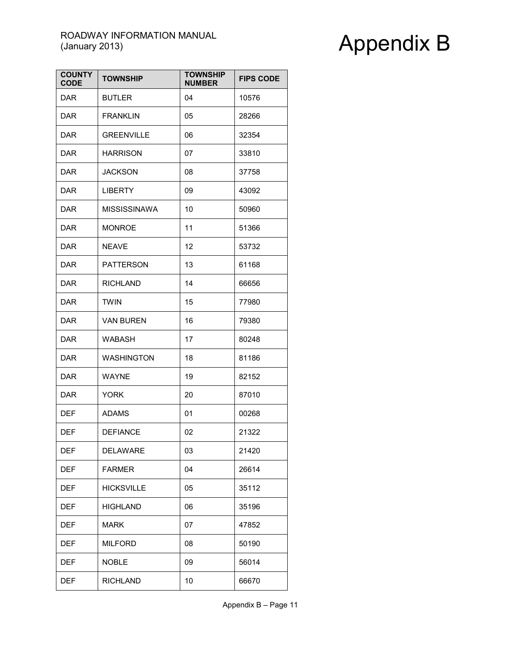| <b>COUNTY</b><br><b>CODE</b> | <b>TOWNSHIP</b>     | <b>TOWNSHIP</b><br><b>NUMBER</b> | <b>FIPS CODE</b> |
|------------------------------|---------------------|----------------------------------|------------------|
| <b>DAR</b>                   | <b>BUTLER</b>       | 04                               | 10576            |
| <b>DAR</b>                   | <b>FRANKLIN</b>     | 05                               | 28266            |
| <b>DAR</b>                   | <b>GREENVILLE</b>   | 06                               | 32354            |
| <b>DAR</b>                   | <b>HARRISON</b>     | 07                               | 33810            |
| <b>DAR</b>                   | <b>JACKSON</b>      | 08                               | 37758            |
| <b>DAR</b>                   | <b>LIBERTY</b>      | 09                               | 43092            |
| DAR                          | <b>MISSISSINAWA</b> | 10                               | 50960            |
| <b>DAR</b>                   | <b>MONROE</b>       | 11                               | 51366            |
| <b>DAR</b>                   | <b>NEAVE</b>        | 12                               | 53732            |
| <b>DAR</b>                   | <b>PATTERSON</b>    | 13                               | 61168            |
| <b>DAR</b>                   | <b>RICHLAND</b>     | 14                               | 66656            |
| <b>DAR</b>                   | TWIN                | 15                               | 77980            |
| DAR                          | VAN BUREN           | 16                               | 79380            |
| <b>DAR</b>                   | WABASH              | 17                               | 80248            |
| DAR                          | <b>WASHINGTON</b>   | 18                               | 81186            |
| <b>DAR</b>                   | <b>WAYNE</b>        | 19                               | 82152            |
| <b>DAR</b>                   | <b>YORK</b>         | 20                               | 87010            |
| <b>DEF</b>                   | <b>ADAMS</b>        | 01                               | 00268            |
| <b>DEF</b>                   | <b>DEFIANCE</b>     | 02                               | 21322            |
| DEF                          | DELAWARE            | 03                               | 21420            |
| <b>DEF</b>                   | <b>FARMER</b>       | 04                               | 26614            |
| DEF                          | <b>HICKSVILLE</b>   | 05                               | 35112            |
| DEF                          | <b>HIGHLAND</b>     | 06                               | 35196            |
| DEF                          | MARK                | 07                               | 47852            |
| <b>DEF</b>                   | <b>MILFORD</b>      | 08                               | 50190            |
| <b>DEF</b>                   | <b>NOBLE</b>        | 09                               | 56014            |
| <b>DEF</b>                   | <b>RICHLAND</b>     | 10                               | 66670            |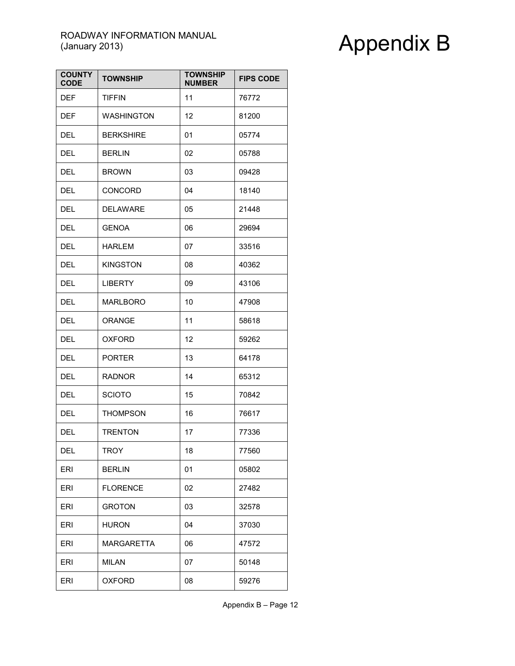| <b>COUNTY</b><br><b>CODE</b> | <b>TOWNSHIP</b>   | <b>TOWNSHIP</b><br><b>NUMBER</b> | <b>FIPS CODE</b> |
|------------------------------|-------------------|----------------------------------|------------------|
| <b>DEF</b>                   | <b>TIFFIN</b>     | 11                               | 76772            |
| <b>DEF</b>                   | <b>WASHINGTON</b> | 12                               | 81200            |
| <b>DEL</b>                   | <b>BERKSHIRE</b>  | 01                               | 05774            |
| <b>DEL</b>                   | <b>BERLIN</b>     | 02                               | 05788            |
| DEL                          | <b>BROWN</b>      | 03                               | 09428            |
| <b>DEL</b>                   | <b>CONCORD</b>    | 04                               | 18140            |
| DEL                          | <b>DELAWARE</b>   | 05                               | 21448            |
| DEL                          | <b>GENOA</b>      | 06                               | 29694            |
| DEL                          | HARLEM            | 07                               | 33516            |
| <b>DEL</b>                   | <b>KINGSTON</b>   | 08                               | 40362            |
| <b>DEL</b>                   | <b>LIBERTY</b>    | 09                               | 43106            |
| <b>DEL</b>                   | <b>MARLBORO</b>   | 10                               | 47908            |
| <b>DEL</b>                   | ORANGE            | 11                               | 58618            |
| DEL                          | <b>OXFORD</b>     | 12                               | 59262            |
| <b>DEL</b>                   | <b>PORTER</b>     | 13                               | 64178            |
| <b>DEL</b>                   | <b>RADNOR</b>     | 14                               | 65312            |
| <b>DEL</b>                   | <b>SCIOTO</b>     | 15                               | 70842            |
| <b>DEL</b>                   | <b>THOMPSON</b>   | 16                               | 76617            |
| <b>DEL</b>                   | <b>TRENTON</b>    | 17                               | 77336            |
| DEL                          | TROY              | 18                               | 77560            |
| <b>ERI</b>                   | <b>BERLIN</b>     | 01                               | 05802            |
| ERI                          | <b>FLORENCE</b>   | 02                               | 27482            |
| ERI                          | <b>GROTON</b>     | 03                               | 32578            |
| ERI                          | <b>HURON</b>      | 04                               | 37030            |
| ERI                          | <b>MARGARETTA</b> | 06                               | 47572            |
| ERI                          | MILAN             | 07                               | 50148            |
| ERI                          | <b>OXFORD</b>     | 08                               | 59276            |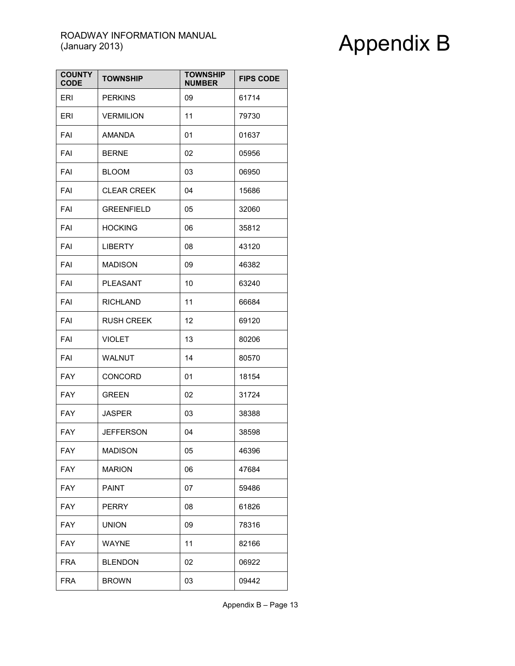| <b>COUNTY</b><br><b>CODE</b> | <b>TOWNSHIP</b>    | <b>TOWNSHIP</b><br><b>NUMBER</b> | <b>FIPS CODE</b> |
|------------------------------|--------------------|----------------------------------|------------------|
| <b>ERI</b>                   | <b>PERKINS</b>     | 09                               | 61714            |
| <b>ERI</b>                   | <b>VERMILION</b>   | 11                               | 79730            |
| FAI                          | <b>AMANDA</b>      | 01                               | 01637            |
| FAI                          | <b>BERNE</b>       | 02                               | 05956            |
| FAI                          | <b>BLOOM</b>       | 03                               | 06950            |
| FAI                          | <b>CLEAR CREEK</b> | 04                               | 15686            |
| FAI                          | <b>GREENFIELD</b>  | 05                               | 32060            |
| FAI                          | <b>HOCKING</b>     | 06                               | 35812            |
| FAI                          | <b>LIBERTY</b>     | 08                               | 43120            |
| FAI                          | <b>MADISON</b>     | 09                               | 46382            |
| FAI                          | PLEASANT           | 10                               | 63240            |
| FAI                          | <b>RICHLAND</b>    | 11                               | 66684            |
| FAI                          | <b>RUSH CREEK</b>  | 12                               | 69120            |
| FAI                          | <b>VIOLET</b>      | 13                               | 80206            |
| FAI                          | <b>WALNUT</b>      | 14                               | 80570            |
| <b>FAY</b>                   | CONCORD            | 01                               | 18154            |
| <b>FAY</b>                   | <b>GREEN</b>       | 02                               | 31724            |
| <b>FAY</b>                   | <b>JASPER</b>      | 03                               | 38388            |
| <b>FAY</b>                   | JEFFERSON          | 04                               | 38598            |
| FAY                          | MADISON            | 05                               | 46396            |
| <b>FAY</b>                   | <b>MARION</b>      | 06                               | 47684            |
| <b>FAY</b>                   | <b>PAINT</b>       | 07                               | 59486            |
| <b>FAY</b>                   | <b>PERRY</b>       | 08                               | 61826            |
| <b>FAY</b>                   | <b>UNION</b>       | 09                               | 78316            |
| <b>FAY</b>                   | <b>WAYNE</b>       | 11                               | 82166            |
| <b>FRA</b>                   | <b>BLENDON</b>     | 02                               | 06922            |
| <b>FRA</b>                   | <b>BROWN</b>       | 03                               | 09442            |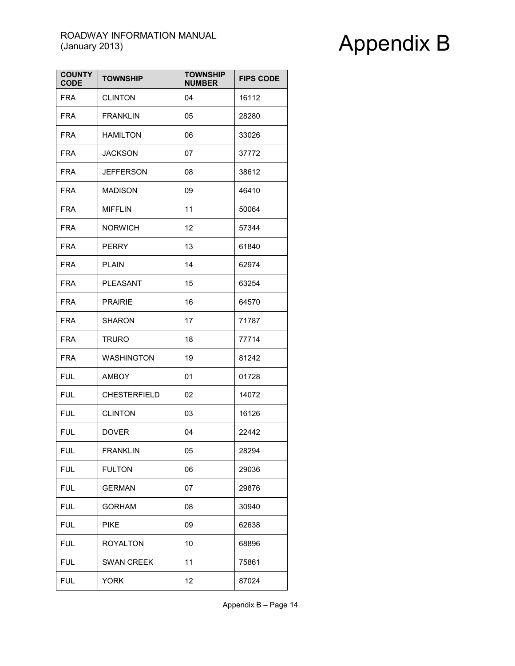| <b>COUNTY</b><br><b>CODE</b> | <b>TOWNSHIP</b>     | <b>TOWNSHIP</b><br><b>NUMBER</b> | <b>FIPS CODE</b> |
|------------------------------|---------------------|----------------------------------|------------------|
| <b>FRA</b>                   | <b>CLINTON</b>      | 04                               | 16112            |
| FRA                          | <b>FRANKLIN</b>     | 05                               | 28280            |
| <b>FRA</b>                   | <b>HAMILTON</b>     | 06                               | 33026            |
| <b>FRA</b>                   | <b>JACKSON</b>      | 07                               | 37772            |
| <b>FRA</b>                   | JEFFERSON           | 08                               | 38612            |
| <b>FRA</b>                   | <b>MADISON</b>      | 09                               | 46410            |
| <b>FRA</b>                   | <b>MIFFLIN</b>      | 11                               | 50064            |
| <b>FRA</b>                   | <b>NORWICH</b>      | 12                               | 57344            |
| <b>FRA</b>                   | <b>PERRY</b>        | 13                               | 61840            |
| <b>FRA</b>                   | <b>PLAIN</b>        | 14                               | 62974            |
| <b>FRA</b>                   | <b>PLEASANT</b>     | 15                               | 63254            |
| <b>FRA</b>                   | <b>PRAIRIE</b>      | 16                               | 64570            |
| <b>FRA</b>                   | <b>SHARON</b>       | 17                               | 71787            |
| <b>FRA</b>                   | TRURO               | 18                               | 77714            |
| <b>FRA</b>                   | <b>WASHINGTON</b>   | 19                               | 81242            |
| <b>FUL</b>                   | <b>AMBOY</b>        | 01                               | 01728            |
| <b>FUL</b>                   | <b>CHESTERFIELD</b> | 02                               | 14072            |
| <b>FUL</b>                   | <b>CLINTON</b>      | 03                               | 16126            |
| <b>FUL</b>                   | <b>DOVER</b>        | 04                               | 22442            |
| FUL                          | FRANKLIN            | 05                               | 28294            |
| <b>FUL</b>                   | <b>FULTON</b>       | 06                               | 29036            |
| <b>FUL</b>                   | <b>GERMAN</b>       | 07                               | 29876            |
| <b>FUL</b>                   | <b>GORHAM</b>       | 08                               | 30940            |
| <b>FUL</b>                   | PIKE                | 09                               | 62638            |
| <b>FUL</b>                   | <b>ROYALTON</b>     | 10                               | 68896            |
| <b>FUL</b>                   | <b>SWAN CREEK</b>   | 11                               | 75861            |
| <b>FUL</b>                   | YORK                | 12                               | 87024            |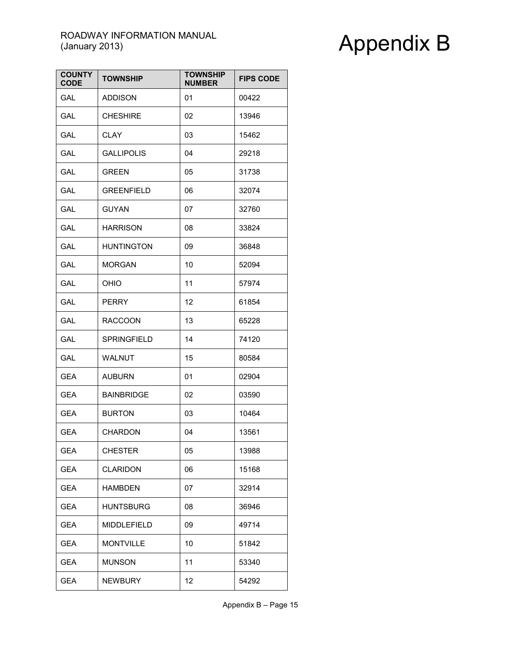| <b>COUNTY</b><br><b>CODE</b> | <b>TOWNSHIP</b>    | <b>TOWNSHIP</b><br><b>NUMBER</b> | <b>FIPS CODE</b> |
|------------------------------|--------------------|----------------------------------|------------------|
| GAL                          | <b>ADDISON</b>     | 01                               | 00422            |
| GAL                          | <b>CHESHIRE</b>    | 02                               | 13946            |
| GAL                          | <b>CLAY</b>        | 03                               | 15462            |
| GAL                          | GALLIPOLIS         | 04                               | 29218            |
| GAL                          | <b>GREEN</b>       | 05                               | 31738            |
| GAL                          | <b>GREENFIELD</b>  | 06                               | 32074            |
| GAL                          | <b>GUYAN</b>       | 07                               | 32760            |
| GAL                          | <b>HARRISON</b>    | 08                               | 33824            |
| GAL                          | <b>HUNTINGTON</b>  | 09                               | 36848            |
| <b>GAL</b>                   | <b>MORGAN</b>      | 10                               | 52094            |
| GAL                          | OHIO               | 11                               | 57974            |
| GAL                          | PERRY              | 12                               | 61854            |
| GAL                          | <b>RACCOON</b>     | 13                               | 65228            |
| GAL                          | <b>SPRINGFIELD</b> | 14                               | 74120            |
| GAL                          | WALNUT             | 15                               | 80584            |
| <b>GEA</b>                   | <b>AUBURN</b>      | 01                               | 02904            |
| <b>GEA</b>                   | <b>BAINBRIDGE</b>  | 02                               | 03590            |
| <b>GEA</b>                   | <b>BURTON</b>      | 03                               | 10464            |
| <b>GEA</b>                   | CHARDON            | 04                               | 13561            |
| GEA                          | <b>CHESTER</b>     | 05                               | 13988            |
| <b>GEA</b>                   | <b>CLARIDON</b>    | 06                               | 15168            |
| GEA                          | <b>HAMBDEN</b>     | 07                               | 32914            |
| <b>GEA</b>                   | <b>HUNTSBURG</b>   | 08                               | 36946            |
| GEA                          | MIDDLEFIELD        | 09                               | 49714            |
| <b>GEA</b>                   | <b>MONTVILLE</b>   | 10                               | 51842            |
| GEA                          | <b>MUNSON</b>      | 11                               | 53340            |
| <b>GEA</b>                   | <b>NEWBURY</b>     | 12                               | 54292            |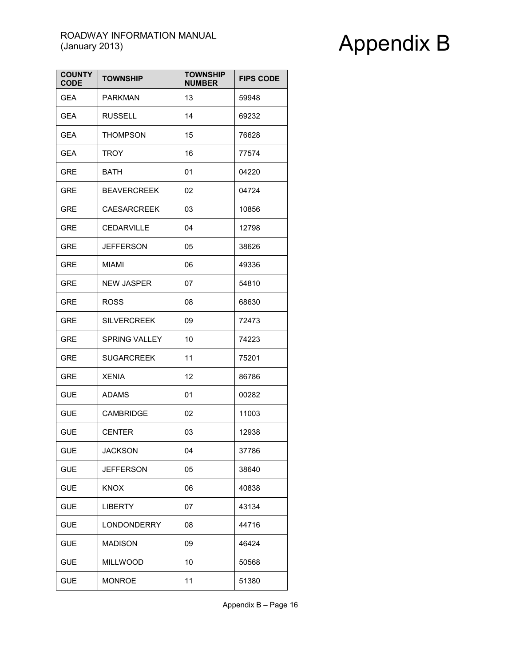| <b>COUNTY</b><br><b>CODE</b> | <b>TOWNSHIP</b>    | <b>TOWNSHIP</b><br><b>NUMBER</b> | <b>FIPS CODE</b> |
|------------------------------|--------------------|----------------------------------|------------------|
| <b>GEA</b>                   | PARKMAN            | 13                               | 59948            |
| <b>GEA</b>                   | <b>RUSSELL</b>     | 14                               | 69232            |
| <b>GEA</b>                   | <b>THOMPSON</b>    | 15                               | 76628            |
| GEA                          | <b>TROY</b>        | 16                               | 77574            |
| <b>GRE</b>                   | BATH               | 01                               | 04220            |
| <b>GRE</b>                   | <b>BEAVERCREEK</b> | 02                               | 04724            |
| <b>GRE</b>                   | <b>CAESARCREEK</b> | 03                               | 10856            |
| <b>GRE</b>                   | <b>CEDARVILLE</b>  | 04                               | 12798            |
| <b>GRE</b>                   | <b>JEFFERSON</b>   | 05                               | 38626            |
| <b>GRE</b>                   | <b>MIAMI</b>       | 06                               | 49336            |
| <b>GRE</b>                   | <b>NEW JASPER</b>  | 07                               | 54810            |
| <b>GRE</b>                   | <b>ROSS</b>        | 08                               | 68630            |
| <b>GRE</b>                   | <b>SILVERCREEK</b> | 09                               | 72473            |
| <b>GRE</b>                   | SPRING VALLEY      | 10                               | 74223            |
| <b>GRE</b>                   | <b>SUGARCREEK</b>  | 11                               | 75201            |
| <b>GRE</b>                   | <b>XENIA</b>       | 12                               | 86786            |
| <b>GUE</b>                   | <b>ADAMS</b>       | 01                               | 00282            |
| <b>GUE</b>                   | <b>CAMBRIDGE</b>   | 02                               | 11003            |
| <b>GUE</b>                   | <b>CENTER</b>      | 03                               | 12938            |
| GUE                          | JACKSON            | 04                               | 37786            |
| <b>GUE</b>                   | <b>JEFFERSON</b>   | 05                               | 38640            |
| <b>GUE</b>                   | <b>KNOX</b>        | 06                               | 40838            |
| <b>GUE</b>                   | <b>LIBERTY</b>     | 07                               | 43134            |
| <b>GUE</b>                   | <b>LONDONDERRY</b> | 08                               | 44716            |
| <b>GUE</b>                   | <b>MADISON</b>     | 09                               | 46424            |
| <b>GUE</b>                   | <b>MILLWOOD</b>    | 10                               | 50568            |
| <b>GUE</b>                   | <b>MONROE</b>      | 11                               | 51380            |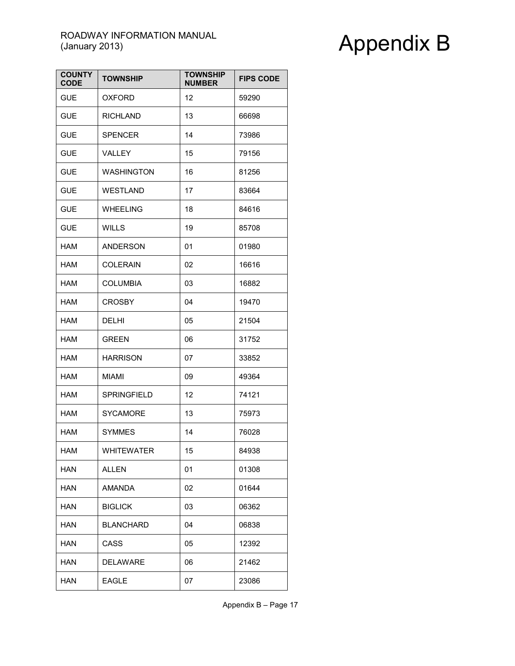| <b>COUNTY</b><br><b>CODE</b> | <b>TOWNSHIP</b>   | <b>TOWNSHIP</b><br><b>NUMBER</b> | <b>FIPS CODE</b> |
|------------------------------|-------------------|----------------------------------|------------------|
| <b>GUE</b>                   | <b>OXFORD</b>     | 12                               | 59290            |
| <b>GUE</b>                   | <b>RICHLAND</b>   | 13                               | 66698            |
| <b>GUE</b>                   | <b>SPENCER</b>    | 14                               | 73986            |
| <b>GUE</b>                   | VALLEY            | 15                               | 79156            |
| <b>GUE</b>                   | <b>WASHINGTON</b> | 16                               | 81256            |
| <b>GUE</b>                   | <b>WESTLAND</b>   | 17                               | 83664            |
| <b>GUE</b>                   | WHEELING          | 18                               | 84616            |
| <b>GUE</b>                   | <b>WILLS</b>      | 19                               | 85708            |
| HAM                          | <b>ANDERSON</b>   | 01                               | 01980            |
| <b>HAM</b>                   | <b>COLERAIN</b>   | 02                               | 16616            |
| HAM                          | <b>COLUMBIA</b>   | 03                               | 16882            |
| HAM                          | <b>CROSBY</b>     | 04                               | 19470            |
| HAM                          | DELHI             | 05                               | 21504            |
| HAM                          | <b>GREEN</b>      | 06                               | 31752            |
| HAM                          | <b>HARRISON</b>   | 07                               | 33852            |
| HAM                          | MIAMI             | 09                               | 49364            |
| HAM                          | SPRINGFIELD       | 12                               | 74121            |
| HAM                          | <b>SYCAMORE</b>   | 13                               | 75973            |
| HAM                          | <b>SYMMES</b>     | 14                               | 76028            |
| <b>HAM</b>                   | <b>WHITEWATER</b> | 15                               | 84938            |
| <b>HAN</b>                   | <b>ALLEN</b>      | 01                               | 01308            |
| <b>HAN</b>                   | <b>AMANDA</b>     | 02                               | 01644            |
| <b>HAN</b>                   | <b>BIGLICK</b>    | 03                               | 06362            |
| <b>HAN</b>                   | <b>BLANCHARD</b>  | 04                               | 06838            |
| <b>HAN</b>                   | <b>CASS</b>       | 05                               | 12392            |
| HAN                          | DELAWARE          | 06                               | 21462            |
| <b>HAN</b>                   | <b>EAGLE</b>      | 07                               | 23086            |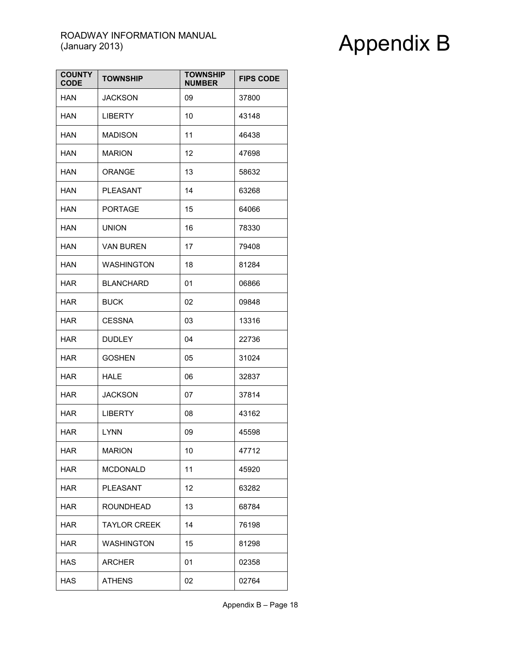| <b>COUNTY</b><br><b>CODE</b> | <b>TOWNSHIP</b>     | <b>TOWNSHIP</b><br><b>NUMBER</b> | <b>FIPS CODE</b> |
|------------------------------|---------------------|----------------------------------|------------------|
| HAN                          | <b>JACKSON</b>      | 09                               | 37800            |
| HAN                          | <b>LIBERTY</b>      | 10                               | 43148            |
| HAN                          | <b>MADISON</b>      | 11                               | 46438            |
| HAN                          | <b>MARION</b>       | 12                               | 47698            |
| HAN                          | <b>ORANGE</b>       | 13                               | 58632            |
| <b>HAN</b>                   | PLEASANT            | 14                               | 63268            |
| HAN                          | <b>PORTAGE</b>      | 15                               | 64066            |
| HAN                          | <b>UNION</b>        | 16                               | 78330            |
| HAN                          | <b>VAN BUREN</b>    | 17                               | 79408            |
| HAN                          | <b>WASHINGTON</b>   | 18                               | 81284            |
| <b>HAR</b>                   | <b>BLANCHARD</b>    | 01                               | 06866            |
| <b>HAR</b>                   | <b>BUCK</b>         | 02                               | 09848            |
| <b>HAR</b>                   | <b>CESSNA</b>       | 03                               | 13316            |
| <b>HAR</b>                   | <b>DUDLEY</b>       | 04                               | 22736            |
| <b>HAR</b>                   | <b>GOSHEN</b>       | 05                               | 31024            |
| <b>HAR</b>                   | HALE                | 06                               | 32837            |
| <b>HAR</b>                   | <b>JACKSON</b>      | 07                               | 37814            |
| <b>HAR</b>                   | <b>LIBERTY</b>      | 08                               | 43162            |
| <b>HAR</b>                   | <b>LYNN</b>         | 09                               | 45598            |
| <b>HAR</b>                   | Marion              | 10                               | 47712            |
| <b>HAR</b>                   | <b>MCDONALD</b>     | 11                               | 45920            |
| <b>HAR</b>                   | PLEASANT            | 12                               | 63282            |
| <b>HAR</b>                   | <b>ROUNDHEAD</b>    | 13                               | 68784            |
| <b>HAR</b>                   | <b>TAYLOR CREEK</b> | 14                               | 76198            |
| <b>HAR</b>                   | <b>WASHINGTON</b>   | 15                               | 81298            |
| HAS                          | <b>ARCHER</b>       | 01                               | 02358            |
| <b>HAS</b>                   | <b>ATHENS</b>       | 02                               | 02764            |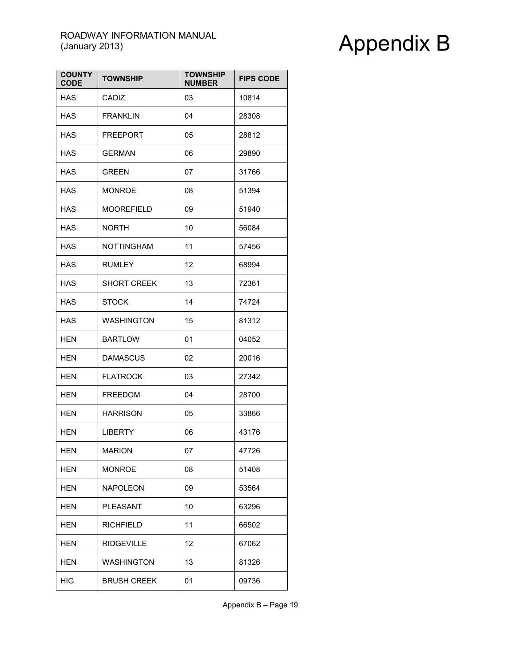| <b>COUNTY</b><br><b>CODE</b> | <b>TOWNSHIP</b>    | <b>TOWNSHIP</b><br><b>NUMBER</b> | <b>FIPS CODE</b> |
|------------------------------|--------------------|----------------------------------|------------------|
| <b>HAS</b>                   | CADIZ              | 03                               | 10814            |
| <b>HAS</b>                   | <b>FRANKLIN</b>    | 04                               | 28308            |
| <b>HAS</b>                   | <b>FREEPORT</b>    | 05                               | 28812            |
| HAS                          | <b>GERMAN</b>      | 06                               | 29890            |
| HAS                          | <b>GREEN</b>       | 07                               | 31766            |
| HAS                          | <b>MONROE</b>      | 08                               | 51394            |
| <b>HAS</b>                   | <b>MOOREFIELD</b>  | 09                               | 51940            |
| <b>HAS</b>                   | <b>NORTH</b>       | 10                               | 56084            |
| <b>HAS</b>                   | <b>NOTTINGHAM</b>  | 11                               | 57456            |
| HAS                          | <b>RUMLEY</b>      | 12                               | 68994            |
| <b>HAS</b>                   | <b>SHORT CREEK</b> | 13                               | 72361            |
| <b>HAS</b>                   | <b>STOCK</b>       | 14                               | 74724            |
| <b>HAS</b>                   | <b>WASHINGTON</b>  | 15                               | 81312            |
| HEN                          | <b>BARTLOW</b>     | 01                               | 04052            |
| HEN                          | <b>DAMASCUS</b>    | 02                               | 20016            |
| HEN                          | <b>FLATROCK</b>    | 03                               | 27342            |
| <b>HEN</b>                   | <b>FREEDOM</b>     | 04                               | 28700            |
| <b>HEN</b>                   | <b>HARRISON</b>    | 05                               | 33866            |
| <b>HEN</b>                   | <b>LIBERTY</b>     | 06                               | 43176            |
| HEN                          | Marion             | 07                               | 47726            |
| <b>HEN</b>                   | <b>MONROE</b>      | 08                               | 51408            |
| <b>HEN</b>                   | <b>NAPOLEON</b>    | 09                               | 53564            |
| <b>HEN</b>                   | <b>PLEASANT</b>    | 10                               | 63296            |
| <b>HEN</b>                   | <b>RICHFIELD</b>   | 11                               | 66502            |
| <b>HEN</b>                   | <b>RIDGEVILLE</b>  | 12                               | 67062            |
| <b>HEN</b>                   | <b>WASHINGTON</b>  | 13                               | 81326            |
| <b>HIG</b>                   | <b>BRUSH CREEK</b> | 01                               | 09736            |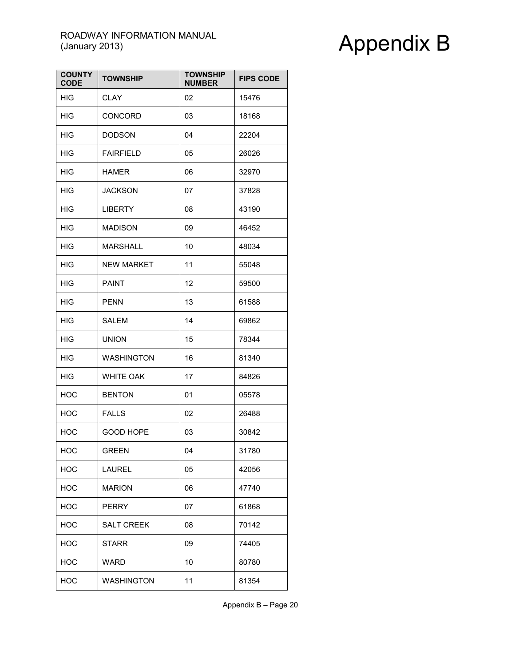| <b>COUNTY</b><br><b>CODE</b> | <b>TOWNSHIP</b>   | <b>TOWNSHIP</b><br><b>NUMBER</b> | <b>FIPS CODE</b> |
|------------------------------|-------------------|----------------------------------|------------------|
| <b>HIG</b>                   | <b>CLAY</b>       | 02                               | 15476            |
| HIG                          | CONCORD           | 03                               | 18168            |
| HIG                          | <b>DODSON</b>     | 04                               | 22204            |
| HIG                          | <b>FAIRFIELD</b>  | 05                               | 26026            |
| <b>HIG</b>                   | <b>HAMER</b>      | 06                               | 32970            |
| HIG                          | <b>JACKSON</b>    | 07                               | 37828            |
| HIG                          | <b>LIBERTY</b>    | 08                               | 43190            |
| <b>HIG</b>                   | <b>MADISON</b>    | 09                               | 46452            |
| <b>HIG</b>                   | <b>MARSHALL</b>   | 10                               | 48034            |
| <b>HIG</b>                   | <b>NEW MARKET</b> | 11                               | 55048            |
| <b>HIG</b>                   | <b>PAINT</b>      | 12                               | 59500            |
| <b>HIG</b>                   | <b>PENN</b>       | 13                               | 61588            |
| HIG                          | SALEM             | 14                               | 69862            |
| HIG                          | <b>UNION</b>      | 15                               | 78344            |
| HIG                          | <b>WASHINGTON</b> | 16                               | 81340            |
| <b>HIG</b>                   | <b>WHITE OAK</b>  | 17                               | 84826            |
| <b>HOC</b>                   | <b>BENTON</b>     | 01                               | 05578            |
| <b>HOC</b>                   | <b>FALLS</b>      | 02                               | 26488            |
| <b>HOC</b>                   | <b>GOOD HOPE</b>  | 03                               | 30842            |
| <b>HOC</b>                   | <b>GREEN</b>      | 04                               | 31780            |
| <b>HOC</b>                   | <b>LAUREL</b>     | 05                               | 42056            |
| HOC                          | <b>MARION</b>     | 06                               | 47740            |
| HOC                          | <b>PERRY</b>      | 07                               | 61868            |
| <b>HOC</b>                   | <b>SALT CREEK</b> | 08                               | 70142            |
| <b>HOC</b>                   | <b>STARR</b>      | 09                               | 74405            |
| HOC                          | WARD              | 10                               | 80780            |
| <b>HOC</b>                   | <b>WASHINGTON</b> | 11                               | 81354            |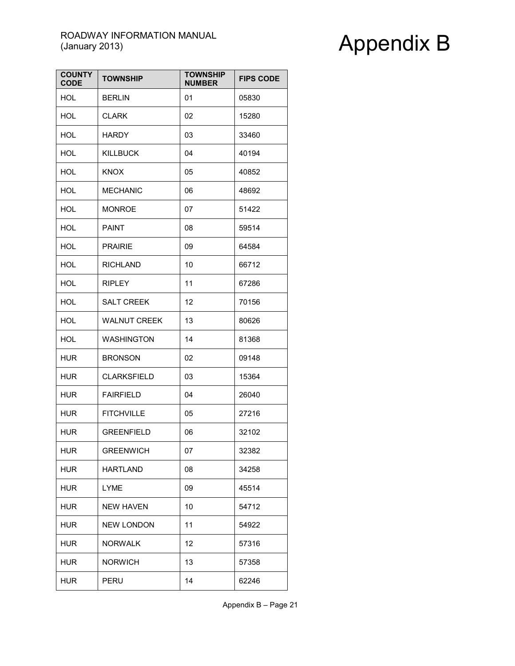| <b>COUNTY</b><br><b>CODE</b> | <b>TOWNSHIP</b>     | <b>TOWNSHIP</b><br><b>NUMBER</b> | <b>FIPS CODE</b> |
|------------------------------|---------------------|----------------------------------|------------------|
| <b>HOL</b>                   | <b>BERLIN</b>       | 01                               | 05830            |
| <b>HOL</b>                   | <b>CLARK</b>        | 02                               | 15280            |
| <b>HOL</b>                   | <b>HARDY</b>        | 03                               | 33460            |
| <b>HOL</b>                   | <b>KILLBUCK</b>     | 04                               | 40194            |
| <b>HOL</b>                   | <b>KNOX</b>         | 05                               | 40852            |
| <b>HOL</b>                   | <b>MECHANIC</b>     | 06                               | 48692            |
| HOL                          | <b>MONROE</b>       | 07                               | 51422            |
| <b>HOL</b>                   | <b>PAINT</b>        | 08                               | 59514            |
| <b>HOL</b>                   | <b>PRAIRIE</b>      | 09                               | 64584            |
| <b>HOL</b>                   | <b>RICHLAND</b>     | 10                               | 66712            |
| <b>HOL</b>                   | <b>RIPLEY</b>       | 11                               | 67286            |
| <b>HOL</b>                   | <b>SALT CREEK</b>   | 12                               | 70156            |
| <b>HOL</b>                   | <b>WALNUT CREEK</b> | 13                               | 80626            |
| <b>HOL</b>                   | <b>WASHINGTON</b>   | 14                               | 81368            |
| HUR                          | <b>BRONSON</b>      | 02                               | 09148            |
| <b>HUR</b>                   | <b>CLARKSFIELD</b>  | 03                               | 15364            |
| <b>HUR</b>                   | <b>FAIRFIELD</b>    | 04                               | 26040            |
| <b>HUR</b>                   | <b>FITCHVILLE</b>   | 05                               | 27216            |
| <b>HUR</b>                   | <b>GREENFIELD</b>   | 06                               | 32102            |
| <b>HUR</b>                   | <b>GREENWICH</b>    | 07                               | 32382            |
| <b>HUR</b>                   | <b>HARTLAND</b>     | 08                               | 34258            |
| HUR                          | LYME                | 09                               | 45514            |
| HUR                          | <b>NEW HAVEN</b>    | 10                               | 54712            |
| <b>HUR</b>                   | <b>NEW LONDON</b>   | 11                               | 54922            |
| <b>HUR</b>                   | <b>NORWALK</b>      | 12                               | 57316            |
| HUR                          | <b>NORWICH</b>      | 13                               | 57358            |
| <b>HUR</b>                   | PERU                | 14                               | 62246            |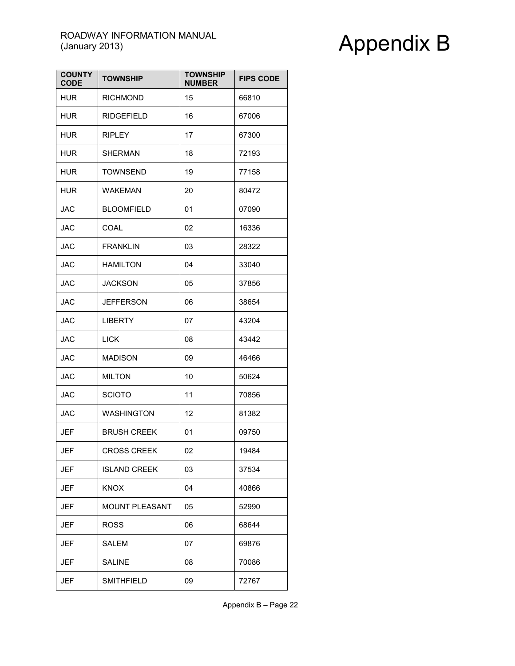| <b>COUNTY</b><br><b>CODE</b> | <b>TOWNSHIP</b>       | <b>TOWNSHIP</b><br><b>NUMBER</b> | <b>FIPS CODE</b> |
|------------------------------|-----------------------|----------------------------------|------------------|
| <b>HUR</b>                   | <b>RICHMOND</b>       | 15                               | 66810            |
| HUR                          | <b>RIDGEFIELD</b>     | 16                               | 67006            |
| <b>HUR</b>                   | <b>RIPLEY</b>         | 17                               | 67300            |
| <b>HUR</b>                   | <b>SHERMAN</b>        | 18                               | 72193            |
| <b>HUR</b>                   | <b>TOWNSEND</b>       | 19                               | 77158            |
| <b>HUR</b>                   | <b>WAKEMAN</b>        | 20                               | 80472            |
| <b>JAC</b>                   | <b>BLOOMFIELD</b>     | 01                               | 07090            |
| <b>JAC</b>                   | COAL                  | 02                               | 16336            |
| <b>JAC</b>                   | <b>FRANKLIN</b>       | 03                               | 28322            |
| <b>JAC</b>                   | <b>HAMILTON</b>       | 04                               | 33040            |
| <b>JAC</b>                   | <b>JACKSON</b>        | 05                               | 37856            |
| <b>JAC</b>                   | JEFFERSON             | 06                               | 38654            |
| JAC                          | <b>LIBERTY</b>        | 07                               | 43204            |
| JAC                          | <b>LICK</b>           | 08                               | 43442            |
| <b>JAC</b>                   | <b>MADISON</b>        | 09                               | 46466            |
| <b>JAC</b>                   | <b>MILTON</b>         | 10                               | 50624            |
| <b>JAC</b>                   | <b>SCIOTO</b>         | 11                               | 70856            |
| <b>JAC</b>                   | <b>WASHINGTON</b>     | 12                               | 81382            |
| JEF                          | <b>BRUSH CREEK</b>    | 01                               | 09750            |
| JEF                          | <b>CROSS CREEK</b>    | 02                               | 19484            |
| JEF                          | <b>ISLAND CREEK</b>   | 03                               | 37534            |
| JEF                          | <b>KNOX</b>           | 04                               | 40866            |
| JEF                          | <b>MOUNT PLEASANT</b> | 05                               | 52990            |
| JEF                          | <b>ROSS</b>           | 06                               | 68644            |
| JEF                          | SALEM                 | 07                               | 69876            |
| JEF                          | <b>SALINE</b>         | 08                               | 70086            |
| JEF                          | <b>SMITHFIELD</b>     | 09                               | 72767            |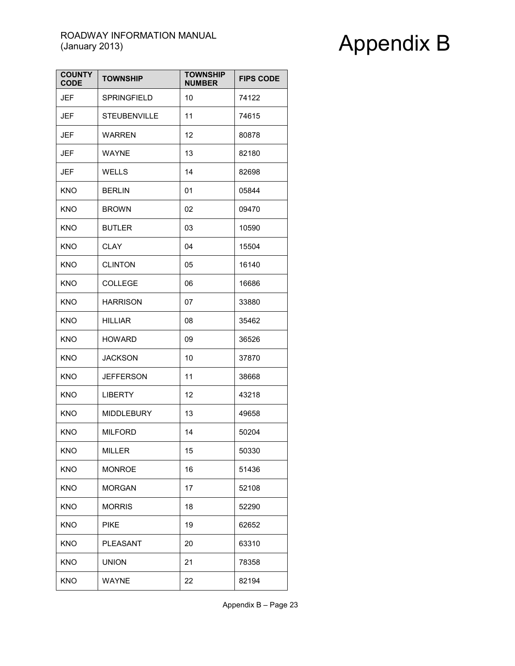| <b>COUNTY</b><br><b>CODE</b> | <b>TOWNSHIP</b>     | <b>TOWNSHIP</b><br><b>NUMBER</b> | <b>FIPS CODE</b> |
|------------------------------|---------------------|----------------------------------|------------------|
| JEF                          | <b>SPRINGFIELD</b>  | 10                               | 74122            |
| JEF                          | <b>STEUBENVILLE</b> | 11                               | 74615            |
| JEF                          | <b>WARREN</b>       | 12                               | 80878            |
| <b>JEF</b>                   | <b>WAYNE</b>        | 13                               | 82180            |
| JEF                          | WELLS               | 14                               | 82698            |
| <b>KNO</b>                   | <b>BERLIN</b>       | 01                               | 05844            |
| <b>KNO</b>                   | <b>BROWN</b>        | 02                               | 09470            |
| KNO                          | <b>BUTLER</b>       | 03                               | 10590            |
| <b>KNO</b>                   | CLAY                | 04                               | 15504            |
| <b>KNO</b>                   | <b>CLINTON</b>      | 05                               | 16140            |
| <b>KNO</b>                   | <b>COLLEGE</b>      | 06                               | 16686            |
| <b>KNO</b>                   | <b>HARRISON</b>     | 07                               | 33880            |
| <b>KNO</b>                   | <b>HILLIAR</b>      | 08                               | 35462            |
| <b>KNO</b>                   | <b>HOWARD</b>       | 09                               | 36526            |
| <b>KNO</b>                   | <b>JACKSON</b>      | 10                               | 37870            |
| <b>KNO</b>                   | <b>JEFFERSON</b>    | 11                               | 38668            |
| <b>KNO</b>                   | <b>LIBERTY</b>      | 12                               | 43218            |
| <b>KNO</b>                   | <b>MIDDLEBURY</b>   | 13                               | 49658            |
| <b>KNO</b>                   | <b>MILFORD</b>      | 14                               | 50204            |
| <b>KNO</b>                   | MILLER              | 15                               | 50330            |
| <b>KNO</b>                   | <b>MONROE</b>       | 16                               | 51436            |
| <b>KNO</b>                   | <b>MORGAN</b>       | 17                               | 52108            |
| <b>KNO</b>                   | <b>MORRIS</b>       | 18                               | 52290            |
| <b>KNO</b>                   | <b>PIKE</b>         | 19                               | 62652            |
| <b>KNO</b>                   | <b>PLEASANT</b>     | 20                               | 63310            |
| <b>KNO</b>                   | <b>UNION</b>        | 21                               | 78358            |
| <b>KNO</b>                   | WAYNE               | 22                               | 82194            |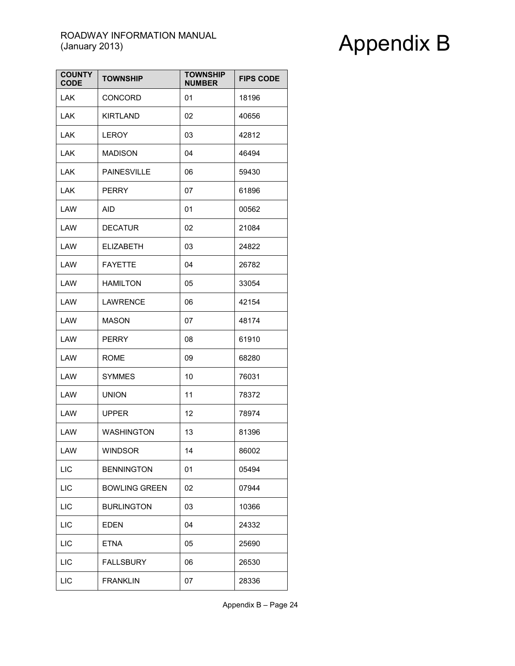| <b>COUNTY</b><br><b>CODE</b> | <b>TOWNSHIP</b>      | <b>TOWNSHIP</b><br><b>NUMBER</b> | <b>FIPS CODE</b> |
|------------------------------|----------------------|----------------------------------|------------------|
| <b>LAK</b>                   | <b>CONCORD</b>       | 01                               | 18196            |
| LAK.                         | <b>KIRTLAND</b>      | 02                               | 40656            |
| <b>LAK</b>                   | <b>LEROY</b>         | 03                               | 42812            |
| LAK                          | <b>MADISON</b>       | 04                               | 46494            |
| <b>LAK</b>                   | <b>PAINESVILLE</b>   | 06                               | 59430            |
| <b>LAK</b>                   | PERRY                | 07                               | 61896            |
| LAW                          | AID                  | 01                               | 00562            |
| LAW                          | <b>DECATUR</b>       | 02                               | 21084            |
| LAW                          | <b>ELIZABETH</b>     | 03                               | 24822            |
| LAW                          | <b>FAYETTE</b>       | 04                               | 26782            |
| LAW                          | <b>HAMILTON</b>      | 05                               | 33054            |
| LAW                          | LAWRENCE             | 06                               | 42154            |
| LAW                          | MASON                | 07                               | 48174            |
| LAW                          | <b>PERRY</b>         | 08                               | 61910            |
| LAW                          | <b>ROME</b>          | 09                               | 68280            |
| LAW                          | <b>SYMMES</b>        | 10                               | 76031            |
| LAW                          | <b>UNION</b>         | 11                               | 78372            |
| LAW                          | <b>UPPER</b>         | 12                               | 78974            |
| LAW                          | <b>WASHINGTON</b>    | 13                               | 81396            |
| LAW                          | WINDSOR              | 14                               | 86002            |
| <b>LIC</b>                   | <b>BENNINGTON</b>    | 01                               | 05494            |
| LIC                          | <b>BOWLING GREEN</b> | 02                               | 07944            |
| LIC                          | <b>BURLINGTON</b>    | 03                               | 10366            |
| <b>LIC</b>                   | <b>EDEN</b>          | 04                               | 24332            |
| <b>LIC</b>                   | <b>ETNA</b>          | 05                               | 25690            |
| <b>LIC</b>                   | <b>FALLSBURY</b>     | 06                               | 26530            |
| LIC                          | <b>FRANKLIN</b>      | 07                               | 28336            |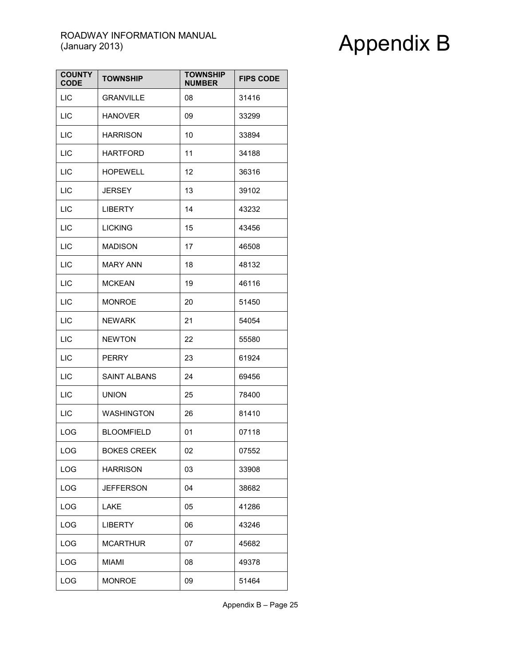| <b>COUNTY</b><br><b>CODE</b> | <b>TOWNSHIP</b>     | <b>TOWNSHIP</b><br><b>NUMBER</b> | <b>FIPS CODE</b> |
|------------------------------|---------------------|----------------------------------|------------------|
| LIC                          | <b>GRANVILLE</b>    | 08                               | 31416            |
| <b>LIC</b>                   | <b>HANOVER</b>      | 09                               | 33299            |
| <b>LIC</b>                   | <b>HARRISON</b>     | 10                               | 33894            |
| LIC                          | <b>HARTFORD</b>     | 11                               | 34188            |
| LIC                          | HOPEWELL            | 12                               | 36316            |
| <b>LIC</b>                   | <b>JERSEY</b>       | 13                               | 39102            |
| LIC                          | <b>LIBERTY</b>      | 14                               | 43232            |
| LIC                          | <b>LICKING</b>      | 15                               | 43456            |
| LIC                          | <b>MADISON</b>      | 17                               | 46508            |
| <b>LIC</b>                   | <b>MARY ANN</b>     | 18                               | 48132            |
| <b>LIC</b>                   | <b>MCKEAN</b>       | 19                               | 46116            |
| LIC                          | <b>MONROE</b>       | 20                               | 51450            |
| LIC                          | <b>NEWARK</b>       | 21                               | 54054            |
| <b>LIC</b>                   | <b>NEWTON</b>       | 22                               | 55580            |
| LIC                          | <b>PERRY</b>        | 23                               | 61924            |
| LIC                          | <b>SAINT ALBANS</b> | 24                               | 69456            |
| <b>LIC</b>                   | <b>UNION</b>        | 25                               | 78400            |
| <b>LIC</b>                   | <b>WASHINGTON</b>   | 26                               | 81410            |
| LOG                          | <b>BLOOMFIELD</b>   | 01                               | 07118            |
| LOG                          | <b>BOKES CREEK</b>  | 02                               | 07552            |
| LOG                          | <b>HARRISON</b>     | 03                               | 33908            |
| LOG                          | <b>JEFFERSON</b>    | 04                               | 38682            |
| LOG                          | LAKE                | 05                               | 41286            |
| LOG                          | <b>LIBERTY</b>      | 06                               | 43246            |
| LOG                          | <b>MCARTHUR</b>     | 07                               | 45682            |
| LOG                          | MIAMI               | 08                               | 49378            |
| LOG                          | <b>MONROE</b>       | 09                               | 51464            |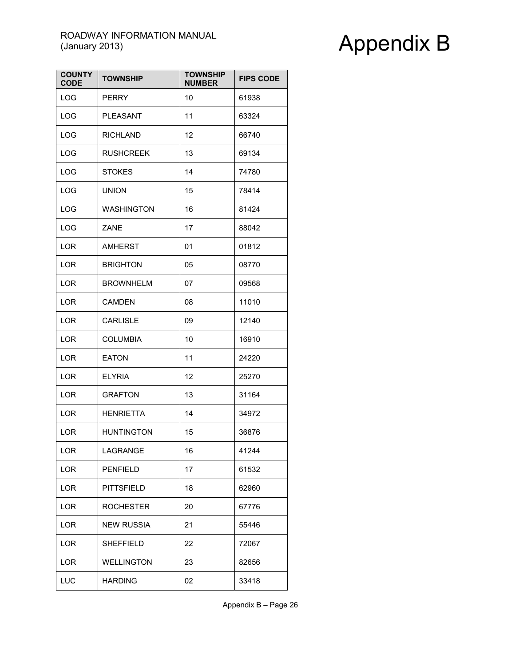| <b>COUNTY</b><br><b>CODE</b> | <b>TOWNSHIP</b>   | <b>TOWNSHIP</b><br><b>NUMBER</b> | <b>FIPS CODE</b> |
|------------------------------|-------------------|----------------------------------|------------------|
| LOG                          | <b>PERRY</b>      | 10                               | 61938            |
| LOG                          | PLEASANT          | 11                               | 63324            |
| LOG                          | <b>RICHLAND</b>   | 12                               | 66740            |
| LOG                          | <b>RUSHCREEK</b>  | 13                               | 69134            |
| LOG                          | <b>STOKES</b>     | 14                               | 74780            |
| <b>LOG</b>                   | <b>UNION</b>      | 15                               | 78414            |
| LOG                          | <b>WASHINGTON</b> | 16                               | 81424            |
| LOG                          | ZANE              | 17                               | 88042            |
| <b>LOR</b>                   | <b>AMHERST</b>    | 01                               | 01812            |
| <b>LOR</b>                   | <b>BRIGHTON</b>   | 05                               | 08770            |
| <b>LOR</b>                   | <b>BROWNHELM</b>  | 07                               | 09568            |
| <b>LOR</b>                   | <b>CAMDEN</b>     | 08                               | 11010            |
| LOR                          | <b>CARLISLE</b>   | 09                               | 12140            |
| <b>LOR</b>                   | <b>COLUMBIA</b>   | 10                               | 16910            |
| <b>LOR</b>                   | <b>EATON</b>      | 11                               | 24220            |
| <b>LOR</b>                   | <b>ELYRIA</b>     | 12                               | 25270            |
| <b>LOR</b>                   | <b>GRAFTON</b>    | 13                               | 31164            |
| <b>LOR</b>                   | <b>HENRIETTA</b>  | 14                               | 34972            |
| <b>LOR</b>                   | <b>HUNTINGTON</b> | 15                               | 36876            |
| LOR                          | LAGRANGE          | 16                               | 41244            |
| <b>LOR</b>                   | <b>PENFIELD</b>   | 17                               | 61532            |
| <b>LOR</b>                   | <b>PITTSFIELD</b> | 18                               | 62960            |
| <b>LOR</b>                   | <b>ROCHESTER</b>  | 20                               | 67776            |
| LOR                          | <b>NEW RUSSIA</b> | 21                               | 55446            |
| <b>LOR</b>                   | <b>SHEFFIELD</b>  | 22                               | 72067            |
| <b>LOR</b>                   | <b>WELLINGTON</b> | 23                               | 82656            |
| LUC                          | <b>HARDING</b>    | 02                               | 33418            |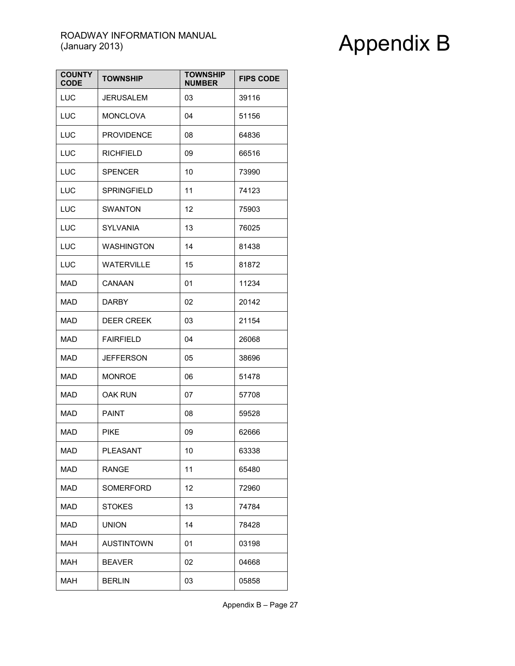| <b>COUNTY</b><br><b>CODE</b> | <b>TOWNSHIP</b>    | <b>TOWNSHIP</b><br><b>NUMBER</b> | <b>FIPS CODE</b> |
|------------------------------|--------------------|----------------------------------|------------------|
| LUC                          | <b>JERUSALEM</b>   | 03                               | 39116            |
| LUC                          | <b>MONCLOVA</b>    | 04                               | 51156            |
| LUC                          | <b>PROVIDENCE</b>  | 08                               | 64836            |
| LUC                          | <b>RICHFIELD</b>   | 09                               | 66516            |
| LUC                          | <b>SPENCER</b>     | 10                               | 73990            |
| LUC                          | <b>SPRINGFIELD</b> | 11                               | 74123            |
| LUC                          | <b>SWANTON</b>     | 12                               | 75903            |
| LUC                          | <b>SYLVANIA</b>    | 13                               | 76025            |
| LUC                          | <b>WASHINGTON</b>  | 14                               | 81438            |
| LUC                          | <b>WATERVILLE</b>  | 15                               | 81872            |
| <b>MAD</b>                   | CANAAN             | 01                               | 11234            |
| MAD                          | <b>DARBY</b>       | 02                               | 20142            |
| MAD                          | <b>DEER CREEK</b>  | 03                               | 21154            |
| MAD                          | <b>FAIRFIELD</b>   | 04                               | 26068            |
| MAD                          | <b>JEFFERSON</b>   | 05                               | 38696            |
| MAD                          | <b>MONROE</b>      | 06                               | 51478            |
| MAD                          | OAK RUN            | 07                               | 57708            |
| <b>MAD</b>                   | <b>PAINT</b>       | 08                               | 59528            |
| <b>MAD</b>                   | PIKE               | 09                               | 62666            |
| MAD                          | PLEASANT           | 10                               | 63338            |
| <b>MAD</b>                   | <b>RANGE</b>       | 11                               | 65480            |
| <b>MAD</b>                   | SOMERFORD          | 12                               | 72960            |
| <b>MAD</b>                   | <b>STOKES</b>      | 13                               | 74784            |
| <b>MAD</b>                   | <b>UNION</b>       | 14                               | 78428            |
| <b>MAH</b>                   | <b>AUSTINTOWN</b>  | 01                               | 03198            |
| <b>MAH</b>                   | <b>BEAVER</b>      | 02                               | 04668            |
| <b>MAH</b>                   | <b>BERLIN</b>      | 03                               | 05858            |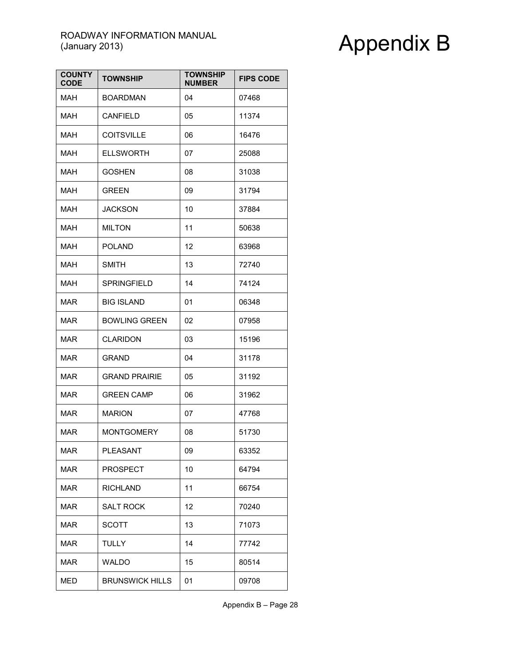| <b>COUNTY</b><br><b>CODE</b> | <b>TOWNSHIP</b>        | <b>TOWNSHIP</b><br><b>NUMBER</b> | <b>FIPS CODE</b> |
|------------------------------|------------------------|----------------------------------|------------------|
| MAH                          | <b>BOARDMAN</b>        | 04                               | 07468            |
| MAH                          | CANFIELD               | 05                               | 11374            |
| <b>MAH</b>                   | <b>COITSVILLE</b>      | 06                               | 16476            |
| MAH                          | <b>ELLSWORTH</b>       | 07                               | 25088            |
| MAH                          | <b>GOSHEN</b>          | 08                               | 31038            |
| MAH                          | <b>GREEN</b>           | 09                               | 31794            |
| MAH                          | <b>JACKSON</b>         | 10                               | 37884            |
| MAH                          | <b>MILTON</b>          | 11                               | 50638            |
| MAH                          | <b>POLAND</b>          | 12                               | 63968            |
| MAH                          | <b>SMITH</b>           | 13                               | 72740            |
| <b>MAH</b>                   | <b>SPRINGFIELD</b>     | 14                               | 74124            |
| <b>MAR</b>                   | <b>BIG ISLAND</b>      | 01                               | 06348            |
| MAR                          | <b>BOWLING GREEN</b>   | 02                               | 07958            |
| MAR                          | <b>CLARIDON</b>        | 03                               | 15196            |
| MAR                          | GRAND                  | 04                               | 31178            |
| MAR                          | <b>GRAND PRAIRIE</b>   | 05                               | 31192            |
| MAR                          | <b>GREEN CAMP</b>      | 06                               | 31962            |
| <b>MAR</b>                   | <b>MARION</b>          | 07                               | 47768            |
| <b>MAR</b>                   | <b>MONTGOMERY</b>      | 08                               | 51730            |
| MAR                          | PLEASANT               | 09                               | 63352            |
| <b>MAR</b>                   | <b>PROSPECT</b>        | 10                               | 64794            |
| <b>MAR</b>                   | <b>RICHLAND</b>        | 11                               | 66754            |
| <b>MAR</b>                   | <b>SALT ROCK</b>       | 12                               | 70240            |
| <b>MAR</b>                   | SCOTT                  | 13                               | 71073            |
| <b>MAR</b>                   | <b>TULLY</b>           | 14                               | 77742            |
| MAR                          | <b>WALDO</b>           | 15                               | 80514            |
| <b>MED</b>                   | <b>BRUNSWICK HILLS</b> | 01                               | 09708            |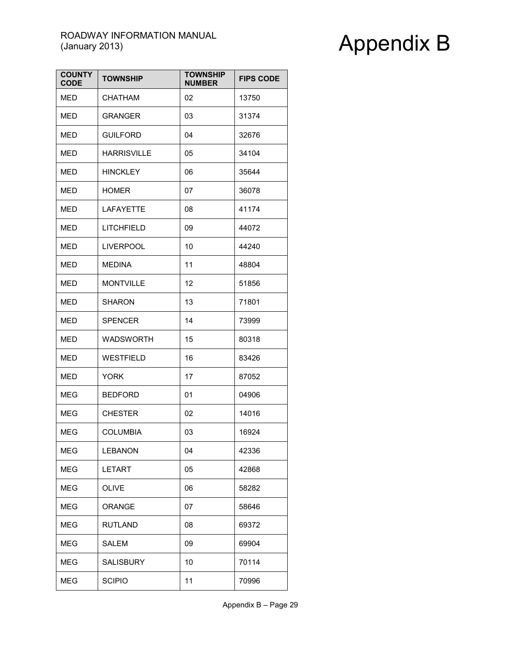| <b>COUNTY</b><br><b>CODE</b> | <b>TOWNSHIP</b>    | <b>TOWNSHIP</b><br><b>NUMBER</b> | <b>FIPS CODE</b> |
|------------------------------|--------------------|----------------------------------|------------------|
| MED                          | CHATHAM            | 02                               | 13750            |
| MED                          | <b>GRANGER</b>     | 03                               | 31374            |
| <b>MED</b>                   | <b>GUILFORD</b>    | 04                               | 32676            |
| <b>MED</b>                   | <b>HARRISVILLE</b> | 05                               | 34104            |
| MED                          | <b>HINCKLEY</b>    | 06                               | 35644            |
| MED                          | <b>HOMER</b>       | 07                               | 36078            |
| MED                          | <b>LAFAYETTE</b>   | 08                               | 41174            |
| MED                          | LITCHFIELD         | 09                               | 44072            |
| MED                          | <b>LIVERPOOL</b>   | 10                               | 44240            |
| <b>MED</b>                   | <b>MEDINA</b>      | 11                               | 48804            |
| <b>MED</b>                   | <b>MONTVILLE</b>   | 12                               | 51856            |
| MED                          | <b>SHARON</b>      | 13                               | 71801            |
| MED                          | SPENCER            | 14                               | 73999            |
| MED                          | <b>WADSWORTH</b>   | 15                               | 80318            |
| MED                          | <b>WESTFIELD</b>   | 16                               | 83426            |
| <b>MED</b>                   | <b>YORK</b>        | 17                               | 87052            |
| MEG                          | <b>BEDFORD</b>     | 01                               | 04906            |
| <b>MEG</b>                   | <b>CHESTER</b>     | 02                               | 14016            |
| <b>MEG</b>                   | <b>COLUMBIA</b>    | 03                               | 16924            |
| MEG                          | LEBANON            | 04                               | 42336            |
| <b>MEG</b>                   | <b>LETART</b>      | 05                               | 42868            |
| MEG                          | <b>OLIVE</b>       | 06                               | 58282            |
| MEG                          | <b>ORANGE</b>      | 07                               | 58646            |
| MEG                          | <b>RUTLAND</b>     | 08                               | 69372            |
| MEG                          | <b>SALEM</b>       | 09                               | 69904            |
| MEG                          | <b>SALISBURY</b>   | 10                               | 70114            |
| <b>MEG</b>                   | <b>SCIPIO</b>      | 11                               | 70996            |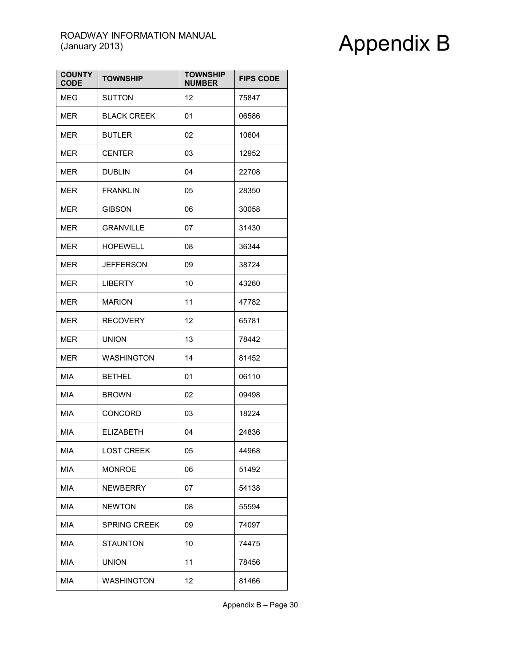| <b>COUNTY</b><br><b>CODE</b> | <b>TOWNSHIP</b>     | <b>TOWNSHIP</b><br><b>NUMBER</b> | <b>FIPS CODE</b> |
|------------------------------|---------------------|----------------------------------|------------------|
| <b>MEG</b>                   | <b>SUTTON</b>       | 12                               | 75847            |
| <b>MER</b>                   | <b>BLACK CREEK</b>  | 01                               | 06586            |
| <b>MER</b>                   | <b>BUTLER</b>       | 02                               | 10604            |
| MER                          | <b>CENTER</b>       | 03                               | 12952            |
| <b>MER</b>                   | <b>DUBLIN</b>       | 04                               | 22708            |
| <b>MER</b>                   | <b>FRANKLIN</b>     | 05                               | 28350            |
| MER                          | <b>GIBSON</b>       | 06                               | 30058            |
| MER                          | <b>GRANVILLE</b>    | 07                               | 31430            |
| <b>MER</b>                   | <b>HOPEWELL</b>     | 08                               | 36344            |
| <b>MER</b>                   | JEFFERSON           | 09                               | 38724            |
| MER                          | <b>LIBERTY</b>      | 10                               | 43260            |
| <b>MER</b>                   | <b>MARION</b>       | 11                               | 47782            |
| <b>MER</b>                   | <b>RECOVERY</b>     | 12                               | 65781            |
| MER                          | <b>UNION</b>        | 13                               | 78442            |
| <b>MER</b>                   | <b>WASHINGTON</b>   | 14                               | 81452            |
| MIA                          | <b>BETHEL</b>       | 01                               | 06110            |
| MIA                          | <b>BROWN</b>        | 02                               | 09498            |
| MIA                          | <b>CONCORD</b>      | 03                               | 18224            |
| MIA                          | ELIZABETH           | 04                               | 24836            |
| MIA                          | <b>LOST CREEK</b>   | 05                               | 44968            |
| MIA                          | <b>MONROE</b>       | 06                               | 51492            |
| MIA                          | <b>NEWBERRY</b>     | 07                               | 54138            |
| MIA                          | <b>NEWTON</b>       | 08                               | 55594            |
| <b>MIA</b>                   | <b>SPRING CREEK</b> | 09                               | 74097            |
| MIA                          | <b>STAUNTON</b>     | 10                               | 74475            |
| MIA                          | <b>UNION</b>        | 11                               | 78456            |
| MIA                          | <b>WASHINGTON</b>   | 12                               | 81466            |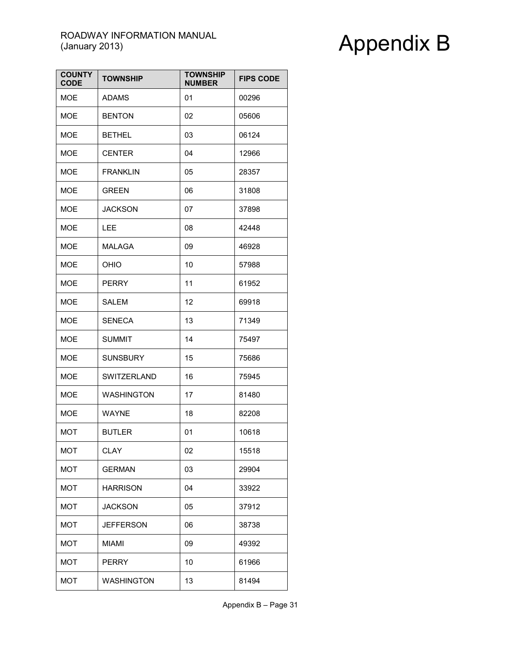| <b>COUNTY</b><br><b>CODE</b> | <b>TOWNSHIP</b>   | <b>TOWNSHIP</b><br><b>NUMBER</b> | <b>FIPS CODE</b> |
|------------------------------|-------------------|----------------------------------|------------------|
| <b>MOE</b>                   | <b>ADAMS</b>      | 01                               | 00296            |
| <b>MOE</b>                   | <b>BENTON</b>     | 02                               | 05606            |
| <b>MOE</b>                   | <b>BETHEL</b>     | 03                               | 06124            |
| <b>MOE</b>                   | <b>CENTER</b>     | 04                               | 12966            |
| <b>MOE</b>                   | <b>FRANKLIN</b>   | 05                               | 28357            |
| <b>MOE</b>                   | <b>GREEN</b>      | 06                               | 31808            |
| <b>MOE</b>                   | <b>JACKSON</b>    | 07                               | 37898            |
| <b>MOE</b>                   | LEE               | 08                               | 42448            |
| <b>MOE</b>                   | <b>MALAGA</b>     | 09                               | 46928            |
| <b>MOE</b>                   | OHIO              | 10                               | 57988            |
| <b>MOE</b>                   | <b>PERRY</b>      | 11                               | 61952            |
| <b>MOE</b>                   | SALEM             | 12                               | 69918            |
| <b>MOE</b>                   | <b>SENECA</b>     | 13                               | 71349            |
| <b>MOE</b>                   | <b>SUMMIT</b>     | 14                               | 75497            |
| <b>MOE</b>                   | <b>SUNSBURY</b>   | 15                               | 75686            |
| <b>MOE</b>                   | SWITZERLAND       | 16                               | 75945            |
| <b>MOE</b>                   | <b>WASHINGTON</b> | 17                               | 81480            |
| <b>MOE</b>                   | <b>WAYNE</b>      | 18                               | 82208            |
| <b>MOT</b>                   | <b>BUTLER</b>     | 01                               | 10618            |
| <b>MOT</b>                   | <b>CLAY</b>       | 02                               | 15518            |
| <b>MOT</b>                   | <b>GERMAN</b>     | 03                               | 29904            |
| <b>MOT</b>                   | <b>HARRISON</b>   | 04                               | 33922            |
| <b>MOT</b>                   | <b>JACKSON</b>    | 05                               | 37912            |
| <b>MOT</b>                   | JEFFERSON         | 06                               | 38738            |
| <b>MOT</b>                   | <b>MIAMI</b>      | 09                               | 49392            |
| <b>MOT</b>                   | PERRY             | 10                               | 61966            |
| <b>MOT</b>                   | <b>WASHINGTON</b> | 13                               | 81494            |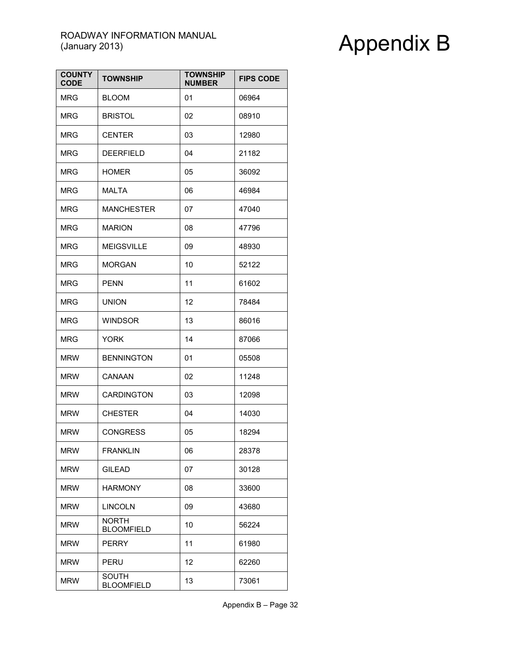| <b>COUNTY</b><br><b>CODE</b> | <b>TOWNSHIP</b>                   | TOWNSHIP<br><b>NUMBER</b> | <b>FIPS CODE</b> |
|------------------------------|-----------------------------------|---------------------------|------------------|
| <b>MRG</b>                   | <b>BLOOM</b>                      | 01                        | 06964            |
| <b>MRG</b>                   | <b>BRISTOL</b>                    | 02                        | 08910            |
| <b>MRG</b>                   | <b>CENTER</b>                     | 03                        | 12980            |
| <b>MRG</b>                   | <b>DEERFIELD</b>                  | 04                        | 21182            |
| <b>MRG</b>                   | <b>HOMER</b>                      | 05                        | 36092            |
| <b>MRG</b>                   | MALTA                             | 06                        | 46984            |
| <b>MRG</b>                   | <b>MANCHESTER</b>                 | 07                        | 47040            |
| <b>MRG</b>                   | <b>MARION</b>                     | 08                        | 47796            |
| <b>MRG</b>                   | <b>MEIGSVILLE</b>                 | 09                        | 48930            |
| MRG                          | <b>MORGAN</b>                     | 10                        | 52122            |
| <b>MRG</b>                   | <b>PENN</b>                       | 11                        | 61602            |
| <b>MRG</b>                   | <b>UNION</b>                      | 12                        | 78484            |
| <b>MRG</b>                   | WINDSOR                           | 13                        | 86016            |
| <b>MRG</b>                   | <b>YORK</b>                       | 14                        | 87066            |
| <b>MRW</b>                   | <b>BENNINGTON</b>                 | 01                        | 05508            |
| <b>MRW</b>                   | CANAAN                            | 02                        | 11248            |
| <b>MRW</b>                   | <b>CARDINGTON</b>                 | 03                        | 12098            |
| <b>MRW</b>                   | <b>CHESTER</b>                    | 04                        | 14030            |
| <b>MRW</b>                   | <b>CONGRESS</b>                   | 05                        | 18294            |
| <b>MRW</b>                   | <b>FRANKLIN</b>                   | 06                        | 28378            |
| <b>MRW</b>                   | <b>GILEAD</b>                     | 07                        | 30128            |
| <b>MRW</b>                   | <b>HARMONY</b>                    | 08                        | 33600            |
| <b>MRW</b>                   | <b>LINCOLN</b>                    | 09                        | 43680            |
| <b>MRW</b>                   | <b>NORTH</b><br><b>BLOOMFIELD</b> | 10                        | 56224            |
| <b>MRW</b>                   | <b>PERRY</b>                      | 11                        | 61980            |
| <b>MRW</b>                   | PERU                              | 12                        | 62260            |
| <b>MRW</b>                   | <b>SOUTH</b><br><b>BLOOMFIELD</b> | 13                        | 73061            |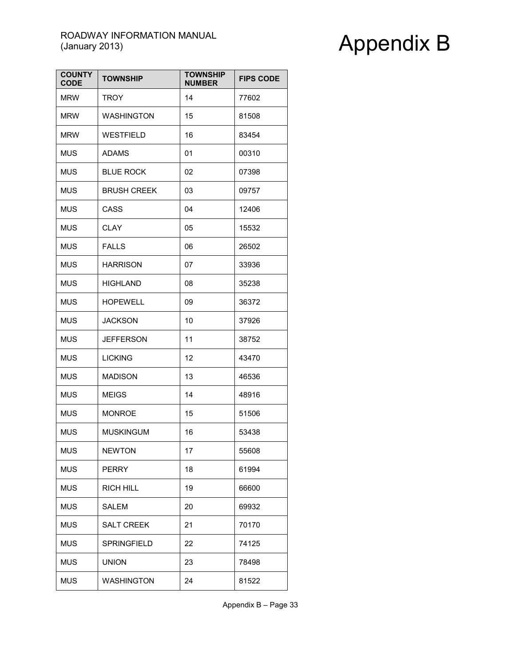| <b>COUNTY</b><br><b>CODE</b> | <b>TOWNSHIP</b>    | <b>TOWNSHIP</b><br><b>NUMBER</b> | <b>FIPS CODE</b> |
|------------------------------|--------------------|----------------------------------|------------------|
| <b>MRW</b>                   | TROY               | 14                               | 77602            |
| <b>MRW</b>                   | <b>WASHINGTON</b>  | 15                               | 81508            |
| <b>MRW</b>                   | <b>WESTFIELD</b>   | 16                               | 83454            |
| MUS                          | <b>ADAMS</b>       | 01                               | 00310            |
| <b>MUS</b>                   | <b>BLUE ROCK</b>   | 02                               | 07398            |
| <b>MUS</b>                   | <b>BRUSH CREEK</b> | 03                               | 09757            |
| <b>MUS</b>                   | CASS               | 04                               | 12406            |
| <b>MUS</b>                   | <b>CLAY</b>        | 05                               | 15532            |
| <b>MUS</b>                   | <b>FALLS</b>       | 06                               | 26502            |
| <b>MUS</b>                   | <b>HARRISON</b>    | 07                               | 33936            |
| <b>MUS</b>                   | <b>HIGHLAND</b>    | 08                               | 35238            |
| <b>MUS</b>                   | <b>HOPEWELL</b>    | 09                               | 36372            |
| <b>MUS</b>                   | <b>JACKSON</b>     | 10                               | 37926            |
| <b>MUS</b>                   | <b>JEFFERSON</b>   | 11                               | 38752            |
| <b>MUS</b>                   | <b>LICKING</b>     | 12                               | 43470            |
| <b>MUS</b>                   | <b>MADISON</b>     | 13                               | 46536            |
| <b>MUS</b>                   | <b>MEIGS</b>       | 14                               | 48916            |
| <b>MUS</b>                   | <b>MONROE</b>      | 15                               | 51506            |
| <b>MUS</b>                   | <b>MUSKINGUM</b>   | 16                               | 53438            |
| MUS                          | <b>NEWTON</b>      | 17                               | 55608            |
| <b>MUS</b>                   | <b>PERRY</b>       | 18                               | 61994            |
| <b>MUS</b>                   | RICH HILL          | 19                               | 66600            |
| <b>MUS</b>                   | SALEM              | 20                               | 69932            |
| <b>MUS</b>                   | <b>SALT CREEK</b>  | 21                               | 70170            |
| <b>MUS</b>                   | <b>SPRINGFIELD</b> | 22                               | 74125            |
| <b>MUS</b>                   | <b>UNION</b>       | 23                               | 78498            |
| <b>MUS</b>                   | <b>WASHINGTON</b>  | 24                               | 81522            |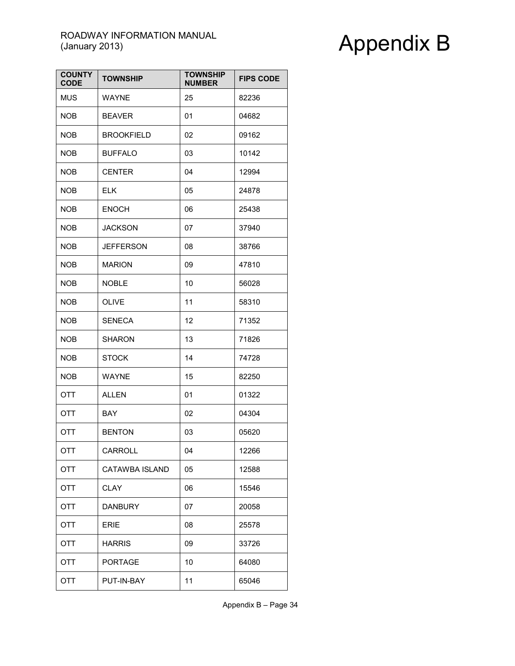| <b>COUNTY</b><br><b>CODE</b> | <b>TOWNSHIP</b>       | <b>TOWNSHIP</b><br><b>NUMBER</b> | <b>FIPS CODE</b> |
|------------------------------|-----------------------|----------------------------------|------------------|
| <b>MUS</b>                   | <b>WAYNE</b>          | 25                               | 82236            |
| <b>NOB</b>                   | <b>BEAVER</b>         | 01                               | 04682            |
| <b>NOB</b>                   | <b>BROOKFIELD</b>     | 02                               | 09162            |
| <b>NOB</b>                   | <b>BUFFALO</b>        | 03                               | 10142            |
| <b>NOB</b>                   | <b>CENTER</b>         | 04                               | 12994            |
| <b>NOB</b>                   | <b>ELK</b>            | 05                               | 24878            |
| <b>NOB</b>                   | <b>ENOCH</b>          | 06                               | 25438            |
| <b>NOB</b>                   | <b>JACKSON</b>        | 07                               | 37940            |
| <b>NOB</b>                   | <b>JEFFERSON</b>      | 08                               | 38766            |
| <b>NOB</b>                   | <b>MARION</b>         | 09                               | 47810            |
| <b>NOB</b>                   | <b>NOBLE</b>          | 10                               | 56028            |
| <b>NOB</b>                   | <b>OLIVE</b>          | 11                               | 58310            |
| <b>NOB</b>                   | <b>SENECA</b>         | 12                               | 71352            |
| <b>NOB</b>                   | <b>SHARON</b>         | 13                               | 71826            |
| <b>NOB</b>                   | <b>STOCK</b>          | 14                               | 74728            |
| <b>NOB</b>                   | <b>WAYNE</b>          | 15                               | 82250            |
| OTT                          | <b>ALLEN</b>          | 01                               | 01322            |
| OTT                          | BAY                   | 02                               | 04304            |
| <b>OTT</b>                   | <b>BENTON</b>         | 03                               | 05620            |
| OTT                          | CARROLL               | 04                               | 12266            |
| OTT                          | <b>CATAWBA ISLAND</b> | 05                               | 12588            |
| OTT                          | CLAY                  | 06                               | 15546            |
| OTT                          | <b>DANBURY</b>        | 07                               | 20058            |
| OTT                          | <b>ERIE</b>           | 08                               | 25578            |
| OTT                          | <b>HARRIS</b>         | 09                               | 33726            |
| OTT                          | <b>PORTAGE</b>        | 10                               | 64080            |
| OTT                          | PUT-IN-BAY            | 11                               | 65046            |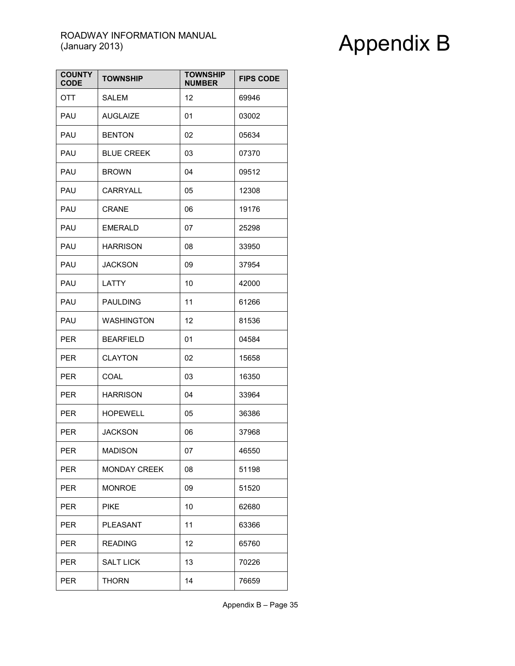| <b>COUNTY</b><br><b>CODE</b> | <b>TOWNSHIP</b>     | <b>TOWNSHIP</b><br><b>NUMBER</b> | <b>FIPS CODE</b> |
|------------------------------|---------------------|----------------------------------|------------------|
| OTT                          | SALEM               | 12                               | 69946            |
| PAU                          | <b>AUGLAIZE</b>     | 01                               | 03002            |
| PAU                          | <b>BENTON</b>       | 02                               | 05634            |
| PAU                          | <b>BLUE CREEK</b>   | 03                               | 07370            |
| PAU                          | <b>BROWN</b>        | 04                               | 09512            |
| PAU                          | CARRYALL            | 05                               | 12308            |
| PAU                          | <b>CRANE</b>        | 06                               | 19176            |
| <b>PAU</b>                   | <b>EMERALD</b>      | 07                               | 25298            |
| PAU                          | <b>HARRISON</b>     | 08                               | 33950            |
| PAU                          | <b>JACKSON</b>      | 09                               | 37954            |
| PAU                          | LATTY               | 10                               | 42000            |
| PAU                          | <b>PAULDING</b>     | 11                               | 61266            |
| PAU                          | <b>WASHINGTON</b>   | 12                               | 81536            |
| <b>PER</b>                   | <b>BEARFIELD</b>    | 01                               | 04584            |
| <b>PER</b>                   | <b>CLAYTON</b>      | 02                               | 15658            |
| <b>PER</b>                   | COAL                | 03                               | 16350            |
| <b>PER</b>                   | <b>HARRISON</b>     | 04                               | 33964            |
| <b>PER</b>                   | <b>HOPEWELL</b>     | 05                               | 36386            |
| <b>PER</b>                   | <b>JACKSON</b>      | 06                               | 37968            |
| <b>PER</b>                   | <b>MADISON</b>      | 07                               | 46550            |
| <b>PER</b>                   | <b>MONDAY CREEK</b> | 08                               | 51198            |
| <b>PER</b>                   | <b>MONROE</b>       | 09                               | 51520            |
| <b>PER</b>                   | PIKE                | 10                               | 62680            |
| <b>PER</b>                   | PLEASANT            | 11                               | 63366            |
| <b>PER</b>                   | <b>READING</b>      | 12                               | 65760            |
| <b>PER</b>                   | <b>SALT LICK</b>    | 13                               | 70226            |
| <b>PER</b>                   | <b>THORN</b>        | 14                               | 76659            |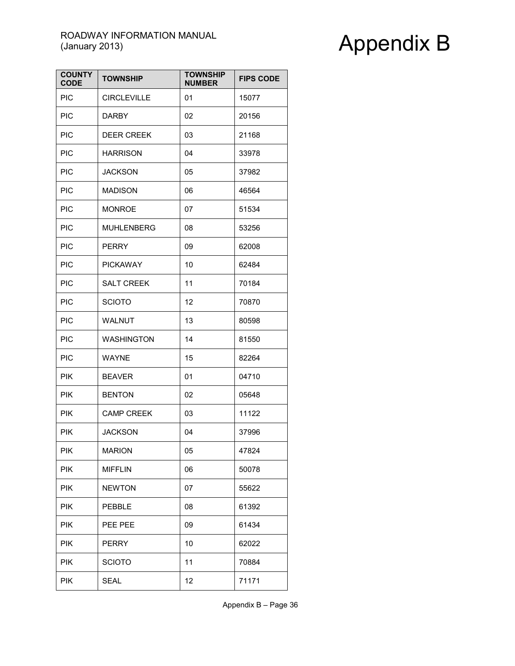| <b>COUNTY</b><br><b>CODE</b> | <b>TOWNSHIP</b>    | <b>TOWNSHIP</b><br><b>NUMBER</b> | <b>FIPS CODE</b> |
|------------------------------|--------------------|----------------------------------|------------------|
| <b>PIC</b>                   | <b>CIRCLEVILLE</b> | 01                               | 15077            |
| <b>PIC</b>                   | <b>DARBY</b>       | 02                               | 20156            |
| <b>PIC</b>                   | <b>DEER CREEK</b>  | 03                               | 21168            |
| <b>PIC</b>                   | <b>HARRISON</b>    | 04                               | 33978            |
| <b>PIC</b>                   | <b>JACKSON</b>     | 05                               | 37982            |
| <b>PIC</b>                   | <b>MADISON</b>     | 06                               | 46564            |
| PIC                          | <b>MONROE</b>      | 07                               | 51534            |
| <b>PIC</b>                   | <b>MUHLENBERG</b>  | 08                               | 53256            |
| <b>PIC</b>                   | <b>PERRY</b>       | 09                               | 62008            |
| <b>PIC</b>                   | <b>PICKAWAY</b>    | 10                               | 62484            |
| <b>PIC</b>                   | <b>SALT CREEK</b>  | 11                               | 70184            |
| <b>PIC</b>                   | <b>SCIOTO</b>      | 12                               | 70870            |
| <b>PIC</b>                   | <b>WALNUT</b>      | 13                               | 80598            |
| PIC                          | <b>WASHINGTON</b>  | 14                               | 81550            |
| PIC                          | <b>WAYNE</b>       | 15                               | 82264            |
| <b>PIK</b>                   | <b>BEAVER</b>      | 01                               | 04710            |
| <b>PIK</b>                   | <b>BENTON</b>      | 02                               | 05648            |
| <b>PIK</b>                   | <b>CAMP CREEK</b>  | 03                               | 11122            |
| <b>PIK</b>                   | <b>JACKSON</b>     | 04                               | 37996            |
| <b>PIK</b>                   | <b>MARION</b>      | 05                               | 47824            |
| <b>PIK</b>                   | <b>MIFFLIN</b>     | 06                               | 50078            |
| <b>PIK</b>                   | <b>NEWTON</b>      | 07                               | 55622            |
| <b>PIK</b>                   | <b>PEBBLE</b>      | 08                               | 61392            |
| <b>PIK</b>                   | PEE PEE            | 09                               | 61434            |
| <b>PIK</b>                   | <b>PERRY</b>       | 10                               | 62022            |
| <b>PIK</b>                   | <b>SCIOTO</b>      | 11                               | 70884            |
| <b>PIK</b>                   | <b>SEAL</b>        | 12                               | 71171            |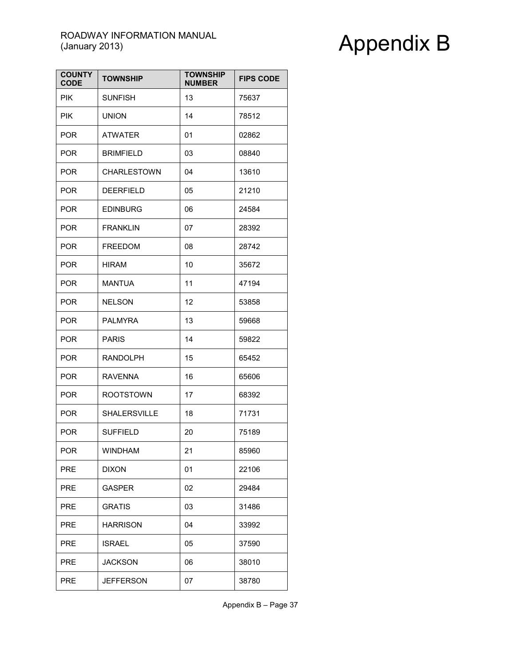| <b>COUNTY</b><br><b>CODE</b> | <b>TOWNSHIP</b>     | <b>TOWNSHIP</b><br><b>NUMBER</b> | <b>FIPS CODE</b> |
|------------------------------|---------------------|----------------------------------|------------------|
| <b>PIK</b>                   | <b>SUNFISH</b>      | 13                               | 75637            |
| <b>PIK</b>                   | <b>UNION</b>        | 14                               | 78512            |
| <b>POR</b>                   | <b>ATWATER</b>      | 01                               | 02862            |
| <b>POR</b>                   | <b>BRIMFIELD</b>    | 03                               | 08840            |
| <b>POR</b>                   | <b>CHARLESTOWN</b>  | 04                               | 13610            |
| <b>POR</b>                   | <b>DEERFIELD</b>    | 05                               | 21210            |
| <b>POR</b>                   | <b>EDINBURG</b>     | 06                               | 24584            |
| <b>POR</b>                   | <b>FRANKLIN</b>     | 07                               | 28392            |
| <b>POR</b>                   | <b>FREEDOM</b>      | 08                               | 28742            |
| <b>POR</b>                   | <b>HIRAM</b>        | 10                               | 35672            |
| <b>POR</b>                   | <b>MANTUA</b>       | 11                               | 47194            |
| <b>POR</b>                   | <b>NELSON</b>       | 12                               | 53858            |
| <b>POR</b>                   | <b>PALMYRA</b>      | 13                               | 59668            |
| <b>POR</b>                   | <b>PARIS</b>        | 14                               | 59822            |
| <b>POR</b>                   | <b>RANDOLPH</b>     | 15                               | 65452            |
| <b>POR</b>                   | <b>RAVENNA</b>      | 16                               | 65606            |
| <b>POR</b>                   | <b>ROOTSTOWN</b>    | 17                               | 68392            |
| <b>POR</b>                   | <b>SHALERSVILLE</b> | 18                               | 71731            |
| <b>POR</b>                   | <b>SUFFIELD</b>     | 20                               | 75189            |
| <b>POR</b>                   | WINDHAM             | 21                               | 85960            |
| <b>PRE</b>                   | <b>DIXON</b>        | 01                               | 22106            |
| <b>PRE</b>                   | <b>GASPER</b>       | 02                               | 29484            |
| <b>PRE</b>                   | <b>GRATIS</b>       | 03                               | 31486            |
| <b>PRE</b>                   | <b>HARRISON</b>     | 04                               | 33992            |
| <b>PRE</b>                   | <b>ISRAEL</b>       | 05                               | 37590            |
| <b>PRE</b>                   | <b>JACKSON</b>      | 06                               | 38010            |
| <b>PRE</b>                   | JEFFERSON           | 07                               | 38780            |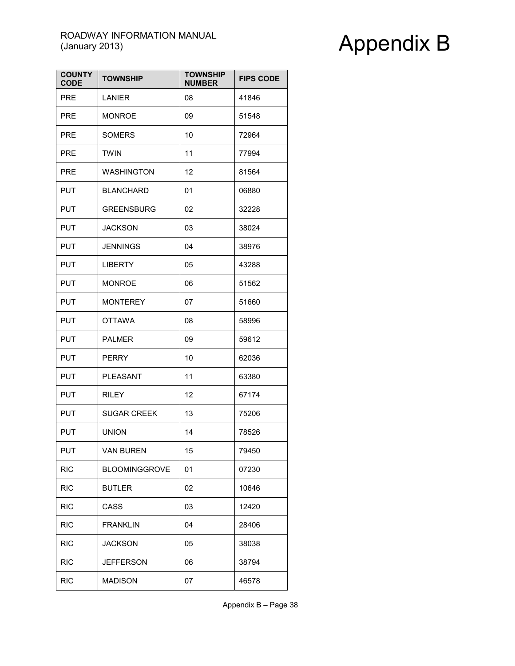| <b>COUNTY</b><br><b>CODE</b> | <b>TOWNSHIP</b>      | <b>TOWNSHIP</b><br><b>NUMBER</b> | <b>FIPS CODE</b> |
|------------------------------|----------------------|----------------------------------|------------------|
| <b>PRE</b>                   | LANIER               | 08                               | 41846            |
| <b>PRE</b>                   | <b>MONROE</b>        | 09                               | 51548            |
| <b>PRE</b>                   | <b>SOMERS</b>        | 10                               | 72964            |
| <b>PRE</b>                   | <b>TWIN</b>          | 11                               | 77994            |
| <b>PRE</b>                   | <b>WASHINGTON</b>    | 12                               | 81564            |
| PUT                          | <b>BLANCHARD</b>     | 01                               | 06880            |
| PUT.                         | <b>GREENSBURG</b>    | 02                               | 32228            |
| <b>PUT</b>                   | <b>JACKSON</b>       | 03                               | 38024            |
| <b>PUT</b>                   | <b>JENNINGS</b>      | 04                               | 38976            |
| <b>PUT</b>                   | <b>LIBERTY</b>       | 05                               | 43288            |
| <b>PUT</b>                   | <b>MONROE</b>        | 06                               | 51562            |
| PUT.                         | <b>MONTEREY</b>      | 07                               | 51660            |
| <b>PUT</b>                   | <b>OTTAWA</b>        | 08                               | 58996            |
| PUT.                         | <b>PALMER</b>        | 09                               | 59612            |
| PUT.                         | <b>PERRY</b>         | 10                               | 62036            |
| <b>PUT</b>                   | PLEASANT             | 11                               | 63380            |
| <b>PUT</b>                   | <b>RILEY</b>         | 12                               | 67174            |
| <b>PUT</b>                   | <b>SUGAR CREEK</b>   | 13                               | 75206            |
| <b>PUT</b>                   | <b>UNION</b>         | 14                               | 78526            |
| <b>PUT</b>                   | VAN BUREN            | 15                               | 79450            |
| <b>RIC</b>                   | <b>BLOOMINGGROVE</b> | 01                               | 07230            |
| <b>RIC</b>                   | <b>BUTLER</b>        | 02                               | 10646            |
| <b>RIC</b>                   | CASS                 | 03                               | 12420            |
| <b>RIC</b>                   | <b>FRANKLIN</b>      | 04                               | 28406            |
| <b>RIC</b>                   | <b>JACKSON</b>       | 05                               | 38038            |
| <b>RIC</b>                   | JEFFERSON            | 06                               | 38794            |
| <b>RIC</b>                   | <b>MADISON</b>       | 07                               | 46578            |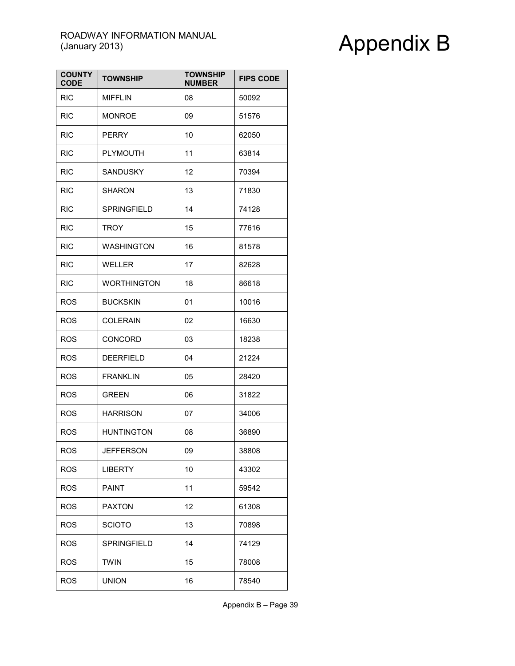| <b>COUNTY</b><br><b>CODE</b> | <b>TOWNSHIP</b>    | <b>TOWNSHIP</b><br><b>NUMBER</b> | <b>FIPS CODE</b> |
|------------------------------|--------------------|----------------------------------|------------------|
| <b>RIC</b>                   | <b>MIFFLIN</b>     | 08                               | 50092            |
| <b>RIC</b>                   | <b>MONROE</b>      | 09                               | 51576            |
| <b>RIC</b>                   | <b>PERRY</b>       | 10                               | 62050            |
| <b>RIC</b>                   | <b>PLYMOUTH</b>    | 11                               | 63814            |
| <b>RIC</b>                   | SANDUSKY           | 12                               | 70394            |
| <b>RIC</b>                   | <b>SHARON</b>      | 13                               | 71830            |
| <b>RIC</b>                   | SPRINGFIELD        | 14                               | 74128            |
| <b>RIC</b>                   | TROY               | 15                               | 77616            |
| <b>RIC</b>                   | <b>WASHINGTON</b>  | 16                               | 81578            |
| <b>RIC</b>                   | <b>WELLER</b>      | 17                               | 82628            |
| <b>RIC</b>                   | <b>WORTHINGTON</b> | 18                               | 86618            |
| <b>ROS</b>                   | <b>BUCKSKIN</b>    | 01                               | 10016            |
| <b>ROS</b>                   | <b>COLERAIN</b>    | 02                               | 16630            |
| <b>ROS</b>                   | CONCORD            | 03                               | 18238            |
| <b>ROS</b>                   | <b>DEERFIELD</b>   | 04                               | 21224            |
| <b>ROS</b>                   | <b>FRANKLIN</b>    | 05                               | 28420            |
| <b>ROS</b>                   | <b>GREEN</b>       | 06                               | 31822            |
| <b>ROS</b>                   | <b>HARRISON</b>    | 07                               | 34006            |
| <b>ROS</b>                   | <b>HUNTINGTON</b>  | 08                               | 36890            |
| <b>ROS</b>                   | <b>JEFFERSON</b>   | 09                               | 38808            |
| <b>ROS</b>                   | <b>LIBERTY</b>     | 10                               | 43302            |
| <b>ROS</b>                   | <b>PAINT</b>       | 11                               | 59542            |
| <b>ROS</b>                   | <b>PAXTON</b>      | 12                               | 61308            |
| <b>ROS</b>                   | <b>SCIOTO</b>      | 13                               | 70898            |
| <b>ROS</b>                   | <b>SPRINGFIELD</b> | 14                               | 74129            |
| <b>ROS</b>                   | TWIN               | 15                               | 78008            |
| <b>ROS</b>                   | <b>UNION</b>       | 16                               | 78540            |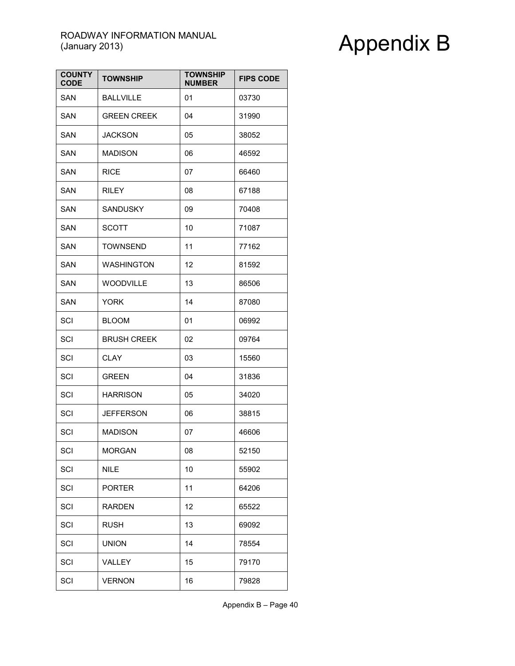| <b>COUNTY</b><br><b>CODE</b> | <b>TOWNSHIP</b>    | <b>TOWNSHIP</b><br><b>NUMBER</b> | <b>FIPS CODE</b> |
|------------------------------|--------------------|----------------------------------|------------------|
| <b>SAN</b>                   | <b>BALLVILLE</b>   | 01                               | 03730            |
| SAN                          | <b>GREEN CREEK</b> | 04                               | 31990            |
| SAN                          | <b>JACKSON</b>     | 05                               | 38052            |
| SAN                          | <b>MADISON</b>     | 06                               | 46592            |
| SAN                          | <b>RICE</b>        | 07                               | 66460            |
| SAN                          | RILEY              | 08                               | 67188            |
| SAN                          | SANDUSKY           | 09                               | 70408            |
| <b>SAN</b>                   | SCOTT              | 10                               | 71087            |
| <b>SAN</b>                   | TOWNSEND           | 11                               | 77162            |
| <b>SAN</b>                   | <b>WASHINGTON</b>  | 12                               | 81592            |
| SAN                          | <b>WOODVILLE</b>   | 13                               | 86506            |
| SAN                          | YORK               | 14                               | 87080            |
| SCI                          | <b>BLOOM</b>       | 01                               | 06992            |
| SCI                          | <b>BRUSH CREEK</b> | 02                               | 09764            |
| SCI                          | CLAY               | 03                               | 15560            |
| SCI                          | <b>GREEN</b>       | 04                               | 31836            |
| SCI                          | <b>HARRISON</b>    | 05                               | 34020            |
| SCI                          | JEFFERSON          | 06                               | 38815            |
| SCI                          | <b>MADISON</b>     | 07                               | 46606            |
| SCI                          | MORGAN             | 08                               | 52150            |
| SCI                          | <b>NILE</b>        | 10                               | 55902            |
| SCI                          | <b>PORTER</b>      | 11                               | 64206            |
| SCI                          | <b>RARDEN</b>      | 12                               | 65522            |
| SCI                          | <b>RUSH</b>        | 13                               | 69092            |
| SCI                          | <b>UNION</b>       | 14                               | 78554            |
| SCI                          | VALLEY             | 15                               | 79170            |
| SCI                          | <b>VERNON</b>      | 16                               | 79828            |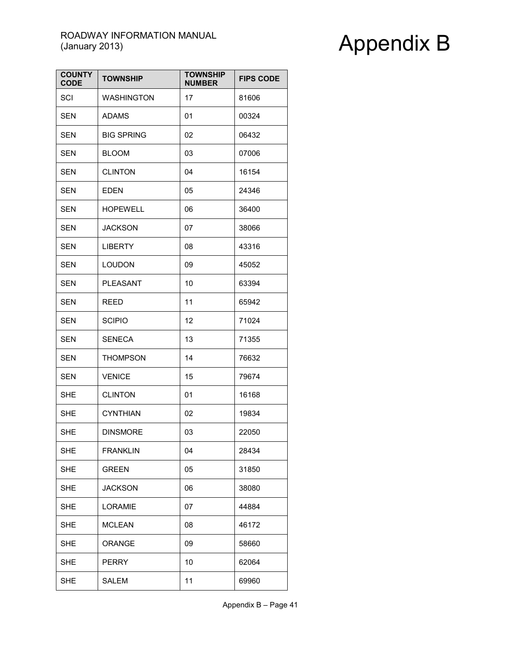| <b>COUNTY</b><br><b>CODE</b> | <b>TOWNSHIP</b>   | <b>TOWNSHIP</b><br><b>NUMBER</b> | <b>FIPS CODE</b> |
|------------------------------|-------------------|----------------------------------|------------------|
| SCI                          | <b>WASHINGTON</b> | 17                               | 81606            |
| <b>SEN</b>                   | <b>ADAMS</b>      | 01                               | 00324            |
| <b>SEN</b>                   | <b>BIG SPRING</b> | 02                               | 06432            |
| <b>SEN</b>                   | <b>BLOOM</b>      | 03                               | 07006            |
| <b>SEN</b>                   | <b>CLINTON</b>    | 04                               | 16154            |
| <b>SEN</b>                   | <b>EDEN</b>       | 05                               | 24346            |
| <b>SEN</b>                   | <b>HOPEWELL</b>   | 06                               | 36400            |
| <b>SEN</b>                   | <b>JACKSON</b>    | 07                               | 38066            |
| <b>SEN</b>                   | <b>LIBERTY</b>    | 08                               | 43316            |
| <b>SEN</b>                   | <b>LOUDON</b>     | 09                               | 45052            |
| <b>SEN</b>                   | <b>PLEASANT</b>   | 10                               | 63394            |
| <b>SEN</b>                   | REED              | 11                               | 65942            |
| <b>SEN</b>                   | <b>SCIPIO</b>     | 12                               | 71024            |
| SEN                          | <b>SENECA</b>     | 13                               | 71355            |
| <b>SEN</b>                   | THOMPSON          | 14                               | 76632            |
| <b>SEN</b>                   | <b>VENICE</b>     | 15                               | 79674            |
| <b>SHE</b>                   | <b>CLINTON</b>    | 01                               | 16168            |
| <b>SHE</b>                   | <b>CYNTHIAN</b>   | 02                               | 19834            |
| <b>SHE</b>                   | <b>DINSMORE</b>   | 03                               | 22050            |
| <b>SHE</b>                   | <b>FRANKLIN</b>   | 04                               | 28434            |
| <b>SHE</b>                   | <b>GREEN</b>      | 05                               | 31850            |
| SHE                          | <b>JACKSON</b>    | 06                               | 38080            |
| <b>SHE</b>                   | <b>LORAMIE</b>    | 07                               | 44884            |
| <b>SHE</b>                   | <b>MCLEAN</b>     | 08                               | 46172            |
| <b>SHE</b>                   | ORANGE            | 09                               | 58660            |
| <b>SHE</b>                   | <b>PERRY</b>      | 10                               | 62064            |
| <b>SHE</b>                   | SALEM             | 11                               | 69960            |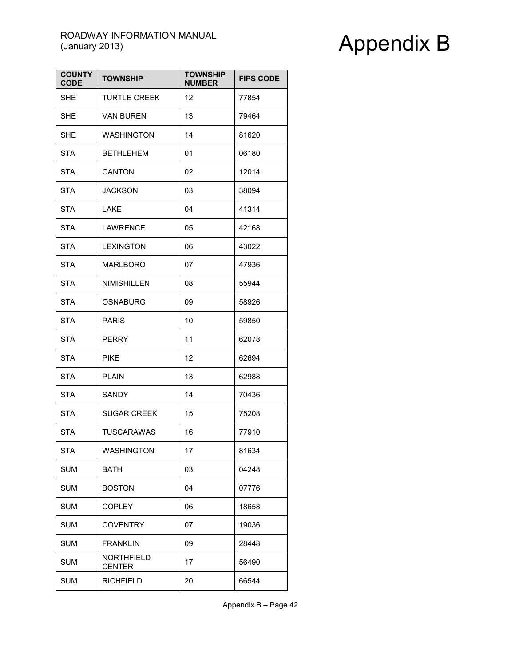| <b>COUNTY</b><br><b>CODE</b> | <b>TOWNSHIP</b>                    | <b>TOWNSHIP</b><br><b>NUMBER</b> | <b>FIPS CODE</b> |
|------------------------------|------------------------------------|----------------------------------|------------------|
| <b>SHE</b>                   | <b>TURTLE CREEK</b>                | 12                               | 77854            |
| <b>SHE</b>                   | VAN BUREN                          | 13                               | 79464            |
| <b>SHE</b>                   | <b>WASHINGTON</b>                  | 14                               | 81620            |
| <b>STA</b>                   | <b>BETHLEHEM</b>                   | 01                               | 06180            |
| <b>STA</b>                   | <b>CANTON</b>                      | 02                               | 12014            |
| <b>STA</b>                   | <b>JACKSON</b>                     | 03                               | 38094            |
| <b>STA</b>                   | LAKE                               | 04                               | 41314            |
| <b>STA</b>                   | LAWRENCE                           | 05                               | 42168            |
| <b>STA</b>                   | <b>LEXINGTON</b>                   | 06                               | 43022            |
| <b>STA</b>                   | MARLBORO                           | 07                               | 47936            |
| <b>STA</b>                   | <b>NIMISHILLEN</b>                 | 08                               | 55944            |
| <b>STA</b>                   | <b>OSNABURG</b>                    | 09                               | 58926            |
| <b>STA</b>                   | <b>PARIS</b>                       | 10                               | 59850            |
| <b>STA</b>                   | PERRY                              | 11                               | 62078            |
| <b>STA</b>                   | PIKE                               | 12                               | 62694            |
| <b>STA</b>                   | <b>PLAIN</b>                       | 13                               | 62988            |
| STA                          | SANDY                              | 14                               | 70436            |
| <b>STA</b>                   | <b>SUGAR CREEK</b>                 | 15                               | 75208            |
| <b>STA</b>                   | <b>TUSCARAWAS</b>                  | 16                               | 77910            |
| STA                          | WASHINGTON                         | 17                               | 81634            |
| <b>SUM</b>                   | BATH                               | 03                               | 04248            |
| <b>SUM</b>                   | <b>BOSTON</b>                      | 04                               | 07776            |
| <b>SUM</b>                   | <b>COPLEY</b>                      | 06                               | 18658            |
| <b>SUM</b>                   | <b>COVENTRY</b>                    | 07                               | 19036            |
| <b>SUM</b>                   | <b>FRANKLIN</b>                    | 09                               | 28448            |
| <b>SUM</b>                   | <b>NORTHFIELD</b><br><b>CENTER</b> | 17                               | 56490            |
| <b>SUM</b>                   | <b>RICHFIELD</b>                   | 20                               | 66544            |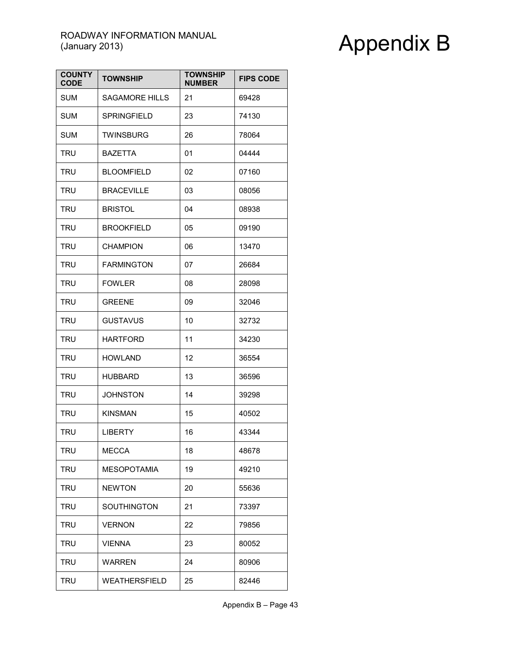| <b>COUNTY</b><br><b>CODE</b> | <b>TOWNSHIP</b>       | <b>TOWNSHIP</b><br><b>NUMBER</b> | <b>FIPS CODE</b> |
|------------------------------|-----------------------|----------------------------------|------------------|
| <b>SUM</b>                   | <b>SAGAMORE HILLS</b> | 21                               | 69428            |
| <b>SUM</b>                   | <b>SPRINGFIELD</b>    | 23                               | 74130            |
| <b>SUM</b>                   | <b>TWINSBURG</b>      | 26                               | 78064            |
| <b>TRU</b>                   | <b>BAZETTA</b>        | 01                               | 04444            |
| TRU                          | <b>BLOOMFIELD</b>     | 02                               | 07160            |
| <b>TRU</b>                   | <b>BRACEVILLE</b>     | 03                               | 08056            |
| TRU                          | <b>BRISTOL</b>        | 04                               | 08938            |
| <b>TRU</b>                   | <b>BROOKFIELD</b>     | 05                               | 09190            |
| TRU                          | <b>CHAMPION</b>       | 06                               | 13470            |
| <b>TRU</b>                   | <b>FARMINGTON</b>     | 07                               | 26684            |
| <b>TRU</b>                   | <b>FOWLER</b>         | 08                               | 28098            |
| TRU                          | <b>GREENE</b>         | 09                               | 32046            |
| TRU                          | <b>GUSTAVUS</b>       | 10                               | 32732            |
| TRU                          | <b>HARTFORD</b>       | 11                               | 34230            |
| TRU                          | <b>HOWLAND</b>        | 12                               | 36554            |
| <b>TRU</b>                   | <b>HUBBARD</b>        | 13                               | 36596            |
| TRU                          | <b>JOHNSTON</b>       | 14                               | 39298            |
| <b>TRU</b>                   | <b>KINSMAN</b>        | 15                               | 40502            |
| <b>TRU</b>                   | <b>LIBERTY</b>        | 16                               | 43344            |
| TRU                          | MECCA                 | 18                               | 48678            |
| <b>TRU</b>                   | <b>MESOPOTAMIA</b>    | 19                               | 49210            |
| <b>TRU</b>                   | <b>NEWTON</b>         | 20                               | 55636            |
| TRU                          | SOUTHINGTON           | 21                               | 73397            |
| <b>TRU</b>                   | <b>VERNON</b>         | 22                               | 79856            |
| <b>TRU</b>                   | <b>VIENNA</b>         | 23                               | 80052            |
| <b>TRU</b>                   | WARREN                | 24                               | 80906            |
| <b>TRU</b>                   | WEATHERSFIELD         | 25                               | 82446            |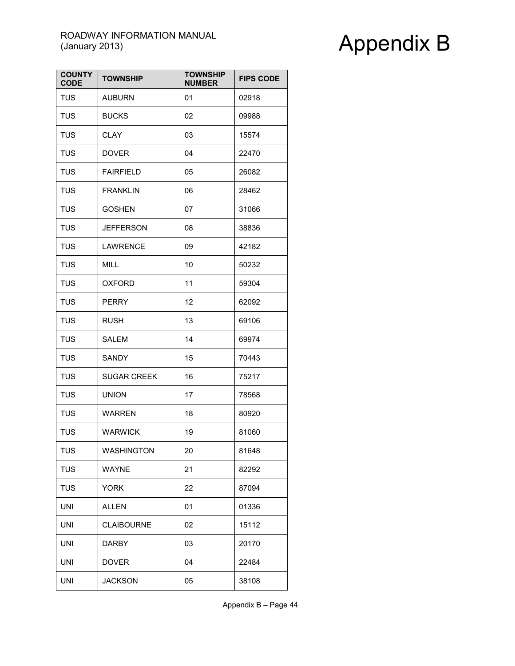| <b>COUNTY</b><br><b>CODE</b> | <b>TOWNSHIP</b>    | <b>TOWNSHIP</b><br><b>NUMBER</b> | <b>FIPS CODE</b> |
|------------------------------|--------------------|----------------------------------|------------------|
| <b>TUS</b>                   | <b>AUBURN</b>      | 01                               | 02918            |
| <b>TUS</b>                   | <b>BUCKS</b>       | 02                               | 09988            |
| <b>TUS</b>                   | <b>CLAY</b>        | 03                               | 15574            |
| <b>TUS</b>                   | <b>DOVER</b>       | 04                               | 22470            |
| <b>TUS</b>                   | <b>FAIRFIELD</b>   | 05                               | 26082            |
| <b>TUS</b>                   | <b>FRANKLIN</b>    | 06                               | 28462            |
| <b>TUS</b>                   | <b>GOSHEN</b>      | 07                               | 31066            |
| <b>TUS</b>                   | <b>JEFFERSON</b>   | 08                               | 38836            |
| <b>TUS</b>                   | <b>LAWRENCE</b>    | 09                               | 42182            |
| <b>TUS</b>                   | <b>MILL</b>        | 10                               | 50232            |
| <b>TUS</b>                   | <b>OXFORD</b>      | 11                               | 59304            |
| <b>TUS</b>                   | <b>PERRY</b>       | 12                               | 62092            |
| <b>TUS</b>                   | RUSH               | 13                               | 69106            |
| <b>TUS</b>                   | SALEM              | 14                               | 69974            |
| <b>TUS</b>                   | SANDY              | 15                               | 70443            |
| <b>TUS</b>                   | <b>SUGAR CREEK</b> | 16                               | 75217            |
| <b>TUS</b>                   | <b>UNION</b>       | 17                               | 78568            |
| TUS                          | <b>WARREN</b>      | 18                               | 80920            |
| <b>TUS</b>                   | <b>WARWICK</b>     | 19                               | 81060            |
| <b>TUS</b>                   | <b>WASHINGTON</b>  | 20                               | 81648            |
| <b>TUS</b>                   | <b>WAYNE</b>       | 21                               | 82292            |
| TUS                          | <b>YORK</b>        | 22                               | 87094            |
| UNI                          | <b>ALLEN</b>       | 01                               | 01336            |
| UNI                          | <b>CLAIBOURNE</b>  | 02                               | 15112            |
| <b>UNI</b>                   | <b>DARBY</b>       | 03                               | 20170            |
| UNI                          | <b>DOVER</b>       | 04                               | 22484            |
| <b>UNI</b>                   | <b>JACKSON</b>     | 05                               | 38108            |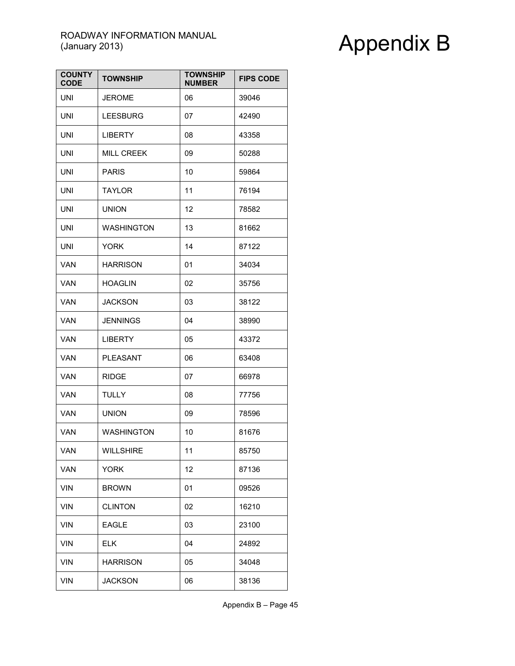| <b>COUNTY</b><br><b>CODE</b> | <b>TOWNSHIP</b>   | <b>TOWNSHIP</b><br><b>NUMBER</b> | <b>FIPS CODE</b> |
|------------------------------|-------------------|----------------------------------|------------------|
| <b>UNI</b>                   | <b>JEROME</b>     | 06                               | 39046            |
| UNI                          | <b>LEESBURG</b>   | 07                               | 42490            |
| <b>UNI</b>                   | <b>LIBERTY</b>    | 08                               | 43358            |
| UNI                          | MILL CREEK        | 09                               | 50288            |
| <b>UNI</b>                   | <b>PARIS</b>      | 10                               | 59864            |
| UNI                          | <b>TAYLOR</b>     | 11                               | 76194            |
| UNI                          | <b>UNION</b>      | 12                               | 78582            |
| UNI                          | <b>WASHINGTON</b> | 13                               | 81662            |
| <b>UNI</b>                   | <b>YORK</b>       | 14                               | 87122            |
| <b>VAN</b>                   | <b>HARRISON</b>   | 01                               | 34034            |
| <b>VAN</b>                   | <b>HOAGLIN</b>    | 02                               | 35756            |
| VAN                          | <b>JACKSON</b>    | 03                               | 38122            |
| VAN                          | <b>JENNINGS</b>   | 04                               | 38990            |
| VAN                          | <b>LIBERTY</b>    | 05                               | 43372            |
| VAN                          | <b>PLEASANT</b>   | 06                               | 63408            |
| <b>VAN</b>                   | <b>RIDGE</b>      | 07                               | 66978            |
| <b>VAN</b>                   | <b>TULLY</b>      | 08                               | 77756            |
| VAN                          | <b>UNION</b>      | 09                               | 78596            |
| <b>VAN</b>                   | <b>WASHINGTON</b> | 10                               | 81676            |
| VAN                          | WILLSHIRE         | 11                               | 85750            |
| <b>VAN</b>                   | <b>YORK</b>       | 12                               | 87136            |
| VIN                          | <b>BROWN</b>      | 01                               | 09526            |
| VIN                          | <b>CLINTON</b>    | 02                               | 16210            |
| <b>VIN</b>                   | <b>EAGLE</b>      | 03                               | 23100            |
| VIN                          | <b>ELK</b>        | 04                               | 24892            |
| <b>VIN</b>                   | <b>HARRISON</b>   | 05                               | 34048            |
| <b>VIN</b>                   | <b>JACKSON</b>    | 06                               | 38136            |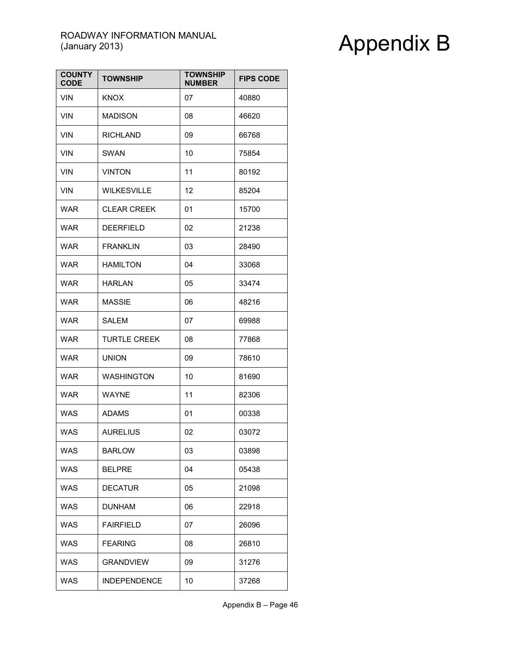| <b>COUNTY</b><br><b>CODE</b> | <b>TOWNSHIP</b>     | <b>TOWNSHIP</b><br><b>NUMBER</b> | <b>FIPS CODE</b> |
|------------------------------|---------------------|----------------------------------|------------------|
| <b>VIN</b>                   | <b>KNOX</b>         | 07                               | 40880            |
| <b>VIN</b>                   | <b>MADISON</b>      | 08                               | 46620            |
| <b>VIN</b>                   | RICHLAND            | 09                               | 66768            |
| <b>VIN</b>                   | <b>SWAN</b>         | 10                               | 75854            |
| <b>VIN</b>                   | <b>VINTON</b>       | 11                               | 80192            |
| <b>VIN</b>                   | <b>WILKESVILLE</b>  | 12                               | 85204            |
| WAR                          | <b>CLEAR CREEK</b>  | 01                               | 15700            |
| <b>WAR</b>                   | <b>DEERFIELD</b>    | 02                               | 21238            |
| <b>WAR</b>                   | <b>FRANKLIN</b>     | 03                               | 28490            |
| WAR                          | HAMILTON            | 04                               | 33068            |
| <b>WAR</b>                   | <b>HARLAN</b>       | 05                               | 33474            |
| <b>WAR</b>                   | <b>MASSIE</b>       | 06                               | 48216            |
| WAR                          | SALEM               | 07                               | 69988            |
| <b>WAR</b>                   | <b>TURTLE CREEK</b> | 08                               | 77868            |
| <b>WAR</b>                   | <b>UNION</b>        | 09                               | 78610            |
| <b>WAR</b>                   | <b>WASHINGTON</b>   | 10                               | 81690            |
| <b>WAR</b>                   | <b>WAYNE</b>        | 11                               | 82306            |
| <b>WAS</b>                   | <b>ADAMS</b>        | 01                               | 00338            |
| <b>WAS</b>                   | <b>AURELIUS</b>     | 02                               | 03072            |
| <b>WAS</b>                   | <b>BARLOW</b>       | 03                               | 03898            |
| <b>WAS</b>                   | <b>BELPRE</b>       | 04                               | 05438            |
| <b>WAS</b>                   | <b>DECATUR</b>      | 05                               | 21098            |
| <b>WAS</b>                   | <b>DUNHAM</b>       | 06                               | 22918            |
| <b>WAS</b>                   | <b>FAIRFIELD</b>    | 07                               | 26096            |
| <b>WAS</b>                   | <b>FEARING</b>      | 08                               | 26810            |
| <b>WAS</b>                   | <b>GRANDVIEW</b>    | 09                               | 31276            |
| <b>WAS</b>                   | <b>INDEPENDENCE</b> | 10                               | 37268            |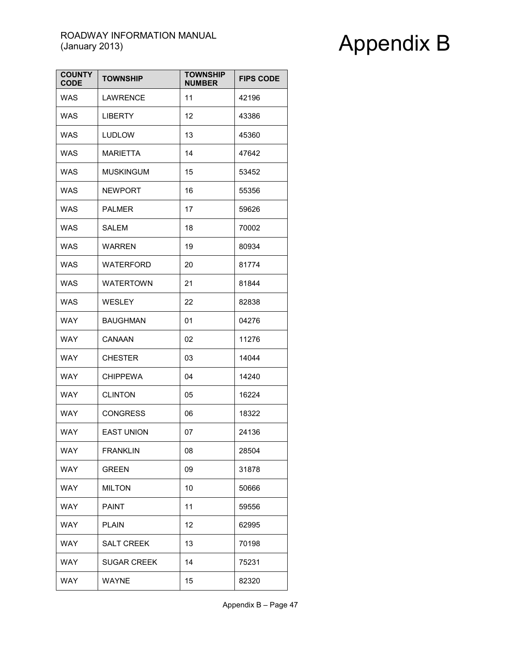| <b>COUNTY</b><br><b>CODE</b> | <b>TOWNSHIP</b>    | <b>TOWNSHIP</b><br><b>NUMBER</b> | <b>FIPS CODE</b> |
|------------------------------|--------------------|----------------------------------|------------------|
| WAS                          | <b>LAWRENCE</b>    | 11                               | 42196            |
| <b>WAS</b>                   | <b>LIBERTY</b>     | 12                               | 43386            |
| <b>WAS</b>                   | <b>LUDLOW</b>      | 13                               | 45360            |
| WAS                          | <b>MARIETTA</b>    | 14                               | 47642            |
| WAS                          | <b>MUSKINGUM</b>   | 15                               | 53452            |
| <b>WAS</b>                   | <b>NEWPORT</b>     | 16                               | 55356            |
| WAS                          | PALMER             | 17                               | 59626            |
| WAS                          | <b>SALEM</b>       | 18                               | 70002            |
| WAS                          | WARREN             | 19                               | 80934            |
| <b>WAS</b>                   | WATERFORD          | 20                               | 81774            |
| <b>WAS</b>                   | <b>WATERTOWN</b>   | 21                               | 81844            |
| <b>WAS</b>                   | <b>WESLEY</b>      | 22                               | 82838            |
| WAY                          | BAUGHMAN           | 01                               | 04276            |
| <b>WAY</b>                   | CANAAN             | 02                               | 11276            |
| <b>WAY</b>                   | <b>CHESTER</b>     | 03                               | 14044            |
| WAY                          | <b>CHIPPEWA</b>    | 04                               | 14240            |
| WAY                          | <b>CLINTON</b>     | 05                               | 16224            |
| <b>WAY</b>                   | <b>CONGRESS</b>    | 06                               | 18322            |
| <b>WAY</b>                   | <b>EAST UNION</b>  | 07                               | 24136            |
| WAY                          | FRANKLIN           | 08                               | 28504            |
| <b>WAY</b>                   | <b>GREEN</b>       | 09                               | 31878            |
| <b>WAY</b>                   | <b>MILTON</b>      | 10                               | 50666            |
| WAY                          | <b>PAINT</b>       | 11                               | 59556            |
| <b>WAY</b>                   | <b>PLAIN</b>       | 12                               | 62995            |
| <b>WAY</b>                   | <b>SALT CREEK</b>  | 13                               | 70198            |
| <b>WAY</b>                   | <b>SUGAR CREEK</b> | 14                               | 75231            |
| <b>WAY</b>                   | WAYNE              | 15                               | 82320            |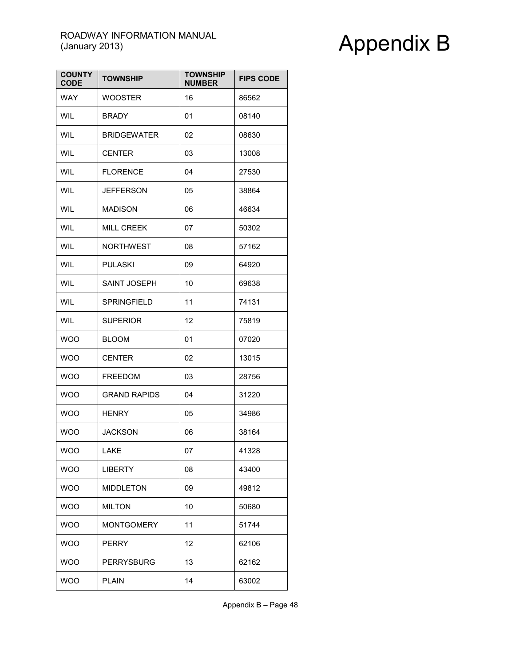| <b>COUNTY</b><br><b>CODE</b> | <b>TOWNSHIP</b>     | <b>TOWNSHIP</b><br><b>NUMBER</b> | <b>FIPS CODE</b> |
|------------------------------|---------------------|----------------------------------|------------------|
| <b>WAY</b>                   | <b>WOOSTER</b>      | 16                               | 86562            |
| <b>WIL</b>                   | <b>BRADY</b>        | 01                               | 08140            |
| <b>WIL</b>                   | <b>BRIDGEWATER</b>  | 02                               | 08630            |
| <b>WIL</b>                   | <b>CENTER</b>       | 03                               | 13008            |
| <b>WIL</b>                   | <b>FLORENCE</b>     | 04                               | 27530            |
| <b>WIL</b>                   | <b>JEFFERSON</b>    | 05                               | 38864            |
| WIL                          | <b>MADISON</b>      | 06                               | 46634            |
| WIL                          | <b>MILL CREEK</b>   | 07                               | 50302            |
| <b>WIL</b>                   | <b>NORTHWEST</b>    | 08                               | 57162            |
| <b>WIL</b>                   | <b>PULASKI</b>      | 09                               | 64920            |
| <b>WIL</b>                   | SAINT JOSEPH        | 10                               | 69638            |
| <b>WIL</b>                   | <b>SPRINGFIELD</b>  | 11                               | 74131            |
| <b>WIL</b>                   | <b>SUPERIOR</b>     | 12                               | 75819            |
| <b>WOO</b>                   | <b>BLOOM</b>        | 01                               | 07020            |
| <b>WOO</b>                   | <b>CENTER</b>       | 02                               | 13015            |
| <b>WOO</b>                   | <b>FREEDOM</b>      | 03                               | 28756            |
| <b>WOO</b>                   | <b>GRAND RAPIDS</b> | 04                               | 31220            |
| <b>WOO</b>                   | <b>HENRY</b>        | 05                               | 34986            |
| <b>WOO</b>                   | JACKSON             | 06                               | 38164            |
| <b>WOO</b>                   | LAKE                | 07                               | 41328            |
| <b>WOO</b>                   | <b>LIBERTY</b>      | 08                               | 43400            |
| <b>WOO</b>                   | <b>MIDDLETON</b>    | 09                               | 49812            |
| <b>WOO</b>                   | <b>MILTON</b>       | 10                               | 50680            |
| <b>WOO</b>                   | <b>MONTGOMERY</b>   | 11                               | 51744            |
| <b>WOO</b>                   | <b>PERRY</b>        | 12                               | 62106            |
| <b>WOO</b>                   | <b>PERRYSBURG</b>   | 13                               | 62162            |
| <b>WOO</b>                   | PLAIN               | 14                               | 63002            |